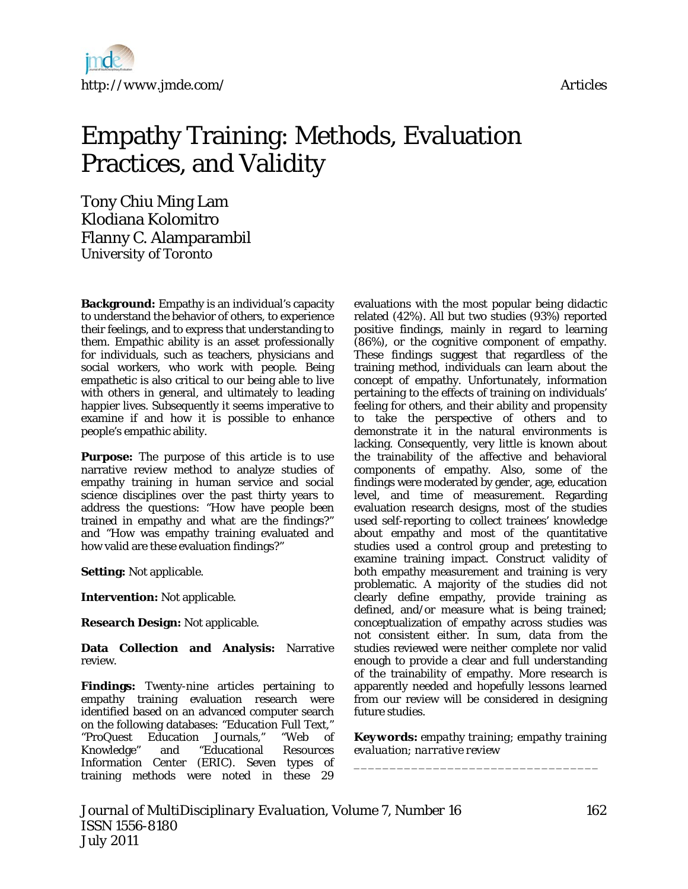

# Empathy Training: Methods, Evaluation Practices, and Validity

Tony Chiu Ming Lam Klodiana Kolomitro Flanny C. Alamparambil *University of Toronto* 

**Background:** Empathy is an individual's capacity to understand the behavior of others, to experience their feelings, and to express that understanding to them. Empathic ability is an asset professionally for individuals, such as teachers, physicians and social workers, who work with people. Being empathetic is also critical to our being able to live with others in general, and ultimately to leading happier lives. Subsequently it seems imperative to examine if and how it is possible to enhance people's empathic ability.

**Purpose:** The purpose of this article is to use narrative review method to analyze studies of empathy training in human service and social science disciplines over the past thirty years to address the questions: "How have people been trained in empathy and what are the findings?" and "How was empathy training evaluated and how valid are these evaluation findings?"

**Setting:** Not applicable.

**Intervention:** Not applicable.

**Research Design:** Not applicable.

**Data Collection and Analysis:** Narrative review.

**Findings:** Twenty-nine articles pertaining to empathy training evaluation research were identified based on an advanced computer search on the following databases: "Education Full Text," "ProQuest Education Journals," "Web of Knowledge" and "Educational Resources Information Center (ERIC). Seven types of training methods were noted in these 29

evaluations with the most popular being didactic related (42%). All but two studies (93%) reported positive findings, mainly in regard to learning (86%), or the cognitive component of empathy. These findings suggest that regardless of the training method, individuals can learn about the concept of empathy. Unfortunately, information pertaining to the effects of training on individuals' feeling for others, and their ability and propensity to take the perspective of others and to demonstrate it in the natural environments is lacking. Consequently, very little is known about the trainability of the affective and behavioral components of empathy. Also, some of the findings were moderated by gender, age, education level, and time of measurement. Regarding evaluation research designs, most of the studies used self-reporting to collect trainees' knowledge about empathy and most of the quantitative studies used a control group and pretesting to examine training impact. Construct validity of both empathy measurement and training is very problematic. A majority of the studies did not clearly define empathy, provide training as defined, and/or measure what is being trained; conceptualization of empathy across studies was not consistent either. In sum, data from the studies reviewed were neither complete nor valid enough to provide a clear and full understanding of the trainability of empathy. More research is apparently needed and hopefully lessons learned from our review will be considered in designing future studies.

*Keywords: empathy training; empathy training evaluation; narrative review* 

*\_\_\_\_\_\_\_\_\_\_\_\_\_\_\_\_\_\_\_\_\_\_\_\_\_\_\_\_\_\_\_\_\_\_*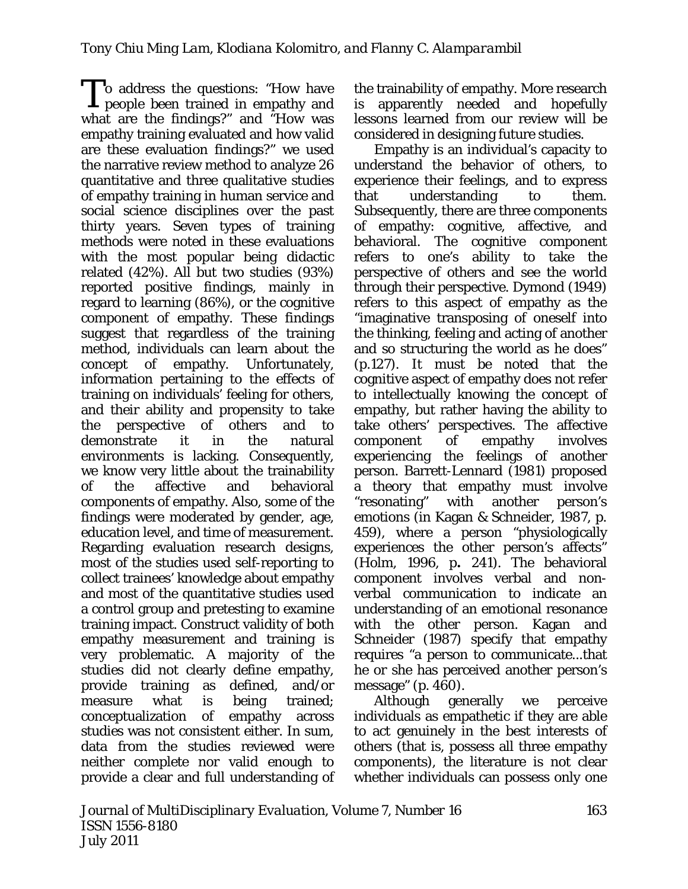o address the questions: "How have To address the questions: "How have<br>people been trained in empathy and what are the findings?" and "How was empathy training evaluated and how valid are these evaluation findings?" we used the narrative review method to analyze 26 quantitative and three qualitative studies of empathy training in human service and social science disciplines over the past thirty years*.* Seven types of training methods were noted in these evaluations with the most popular being didactic related (42%). All but two studies (93%) reported positive findings, mainly in regard to learning (86%), or the cognitive component of empathy. These findings suggest that regardless of the training method, individuals can learn about the concept of empathy. Unfortunately, information pertaining to the effects of training on individuals' feeling for others, and their ability and propensity to take the perspective of others and to demonstrate it in the natural environments is lacking. Consequently, we know very little about the trainability of the affective and behavioral components of empathy. Also, some of the findings were moderated by gender, age, education level, and time of measurement. Regarding evaluation research designs, most of the studies used self-reporting to collect trainees' knowledge about empathy and most of the quantitative studies used a control group and pretesting to examine training impact. Construct validity of both empathy measurement and training is very problematic. A majority of the studies did not clearly define empathy, provide training as defined, and/or measure what is being trained; conceptualization of empathy across studies was not consistent either. In sum, data from the studies reviewed were neither complete nor valid enough to provide a clear and full understanding of

the trainability of empathy. More research is apparently needed and hopefully lessons learned from our review will be considered in designing future studies.

Empathy is an individual's capacity to understand the behavior of others, to experience their feelings, and to express that understanding to them. Subsequently, there are three components of empathy: cognitive, affective, and behavioral. The cognitive component refers to one's ability to take the perspective of others and see the world through their perspective. Dymond (1949) refers to this aspect of empathy as the "imaginative transposing of oneself into the thinking, feeling and acting of another and so structuring the world as he does" (p.127). It must be noted that the cognitive aspect of empathy does not refer to intellectually knowing the concept of empathy, but rather having the ability to take others' perspectives. The affective component of empathy involves experiencing the feelings of another person. Barrett-Lennard (1981) proposed a theory that empathy must involve "resonating" with another person's emotions (in Kagan & Schneider, 1987, p. 459), where a person "physiologically experiences the other person's affects" (Holm, 1996, p**.** 241). The behavioral component involves verbal and nonverbal communication to indicate an understanding of an emotional resonance with the other person. Kagan and Schneider (1987) specify that empathy requires "a person to communicate...that he or she has perceived another person's message" (p. 460).

Although generally we perceive individuals as empathetic if they are able to act genuinely in the best interests of others (that is, possess all three empathy components), the literature is not clear whether individuals can possess only one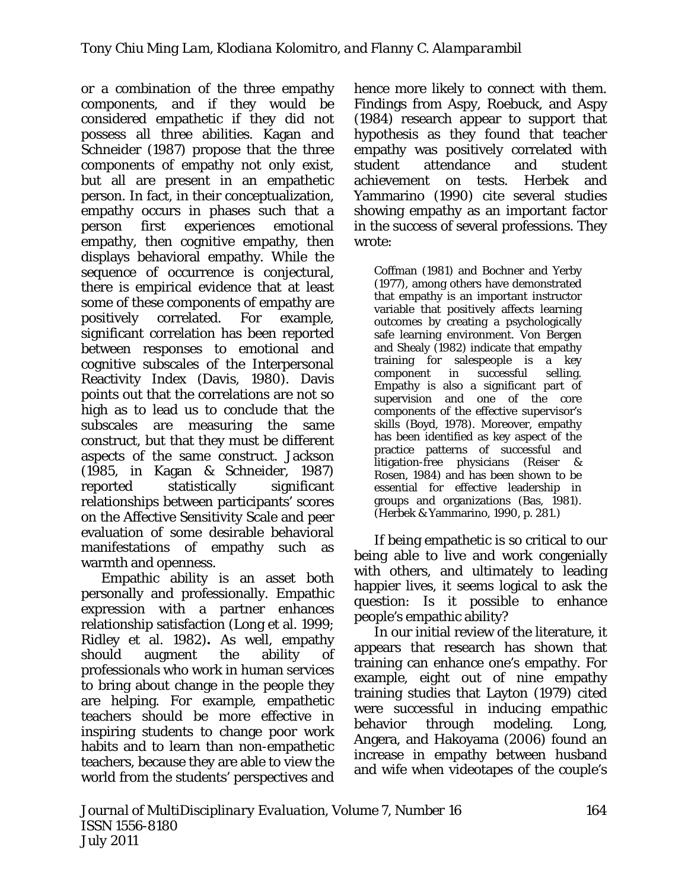or a combination of the three empathy components, and if they would be considered empathetic if they did not possess all three abilities. Kagan and Schneider (1987) propose that the three components of empathy not only exist, but all are present in an empathetic person. In fact, in their conceptualization, empathy occurs in phases such that a person first experiences emotional empathy, then cognitive empathy, then displays behavioral empathy. While the sequence of occurrence is conjectural, there is empirical evidence that at least some of these components of empathy are positively correlated. For example, significant correlation has been reported between responses to emotional and cognitive subscales of the Interpersonal Reactivity Index (Davis, 1980). Davis points out that the correlations are not so high as to lead us to conclude that the subscales are measuring the same construct, but that they must be different aspects of the same construct. Jackson (1985, in Kagan & Schneider, 1987) reported statistically significant relationships between participants' scores on the Affective Sensitivity Scale and peer evaluation of some desirable behavioral manifestations of empathy such as warmth and openness.

Empathic ability is an asset both personally and professionally. Empathic expression with a partner enhances relationship satisfaction (Long et al. 1999; Ridley et al. 1982)**.** As well, empathy should augment the ability of professionals who work in human services to bring about change in the people they are helping. For example, empathetic teachers should be more effective in inspiring students to change poor work habits and to learn than non-empathetic teachers, because they are able to view the world from the students' perspectives and

hence more likely to connect with them. Findings from Aspy, Roebuck, and Aspy (1984) research appear to support that hypothesis as they found that teacher empathy was positively correlated with student attendance and student achievement on tests. Herbek and Yammarino (1990) cite several studies showing empathy as an important factor in the success of several professions. They wrote:

Coffman (1981) and Bochner and Yerby (1977), among others have demonstrated that empathy is an important instructor variable that positively affects learning outcomes by creating a psychologically safe learning environment. Von Bergen and Shealy (1982) indicate that empathy training for salespeople is a key component in successful selling. Empathy is also a significant part of supervision and one of the core components of the effective supervisor's skills (Boyd, 1978). Moreover, empathy has been identified as key aspect of the practice patterns of successful and litigation-free physicians (Reiser & Rosen, 1984) and has been shown to be essential for effective leadership in groups and organizations (Bas, 1981). (Herbek & Yammarino, 1990, p. 281.)

If being empathetic is so critical to our being able to live and work congenially with others, and ultimately to leading happier lives, it seems logical to ask the question: Is it possible to enhance people's empathic ability?

In our initial review of the literature, it appears that research has shown that training can enhance one's empathy. For example, eight out of nine empathy training studies that Layton (1979) cited were successful in inducing empathic behavior through modeling. Long, Angera, and Hakoyama (2006) found an increase in empathy between husband and wife when videotapes of the couple's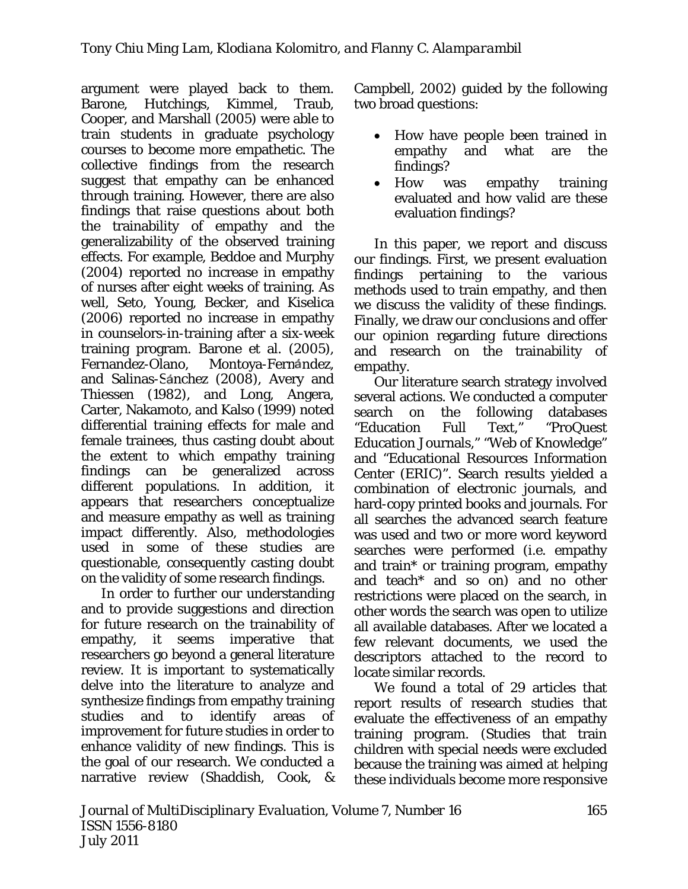argument were played back to them. Barone, Hutchings, Kimmel, Traub, Cooper, and Marshall (2005) were able to train students in graduate psychology courses to become more empathetic. The collective findings from the research suggest that empathy can be enhanced through training. However, there are also findings that raise questions about both the trainability of empathy and the generalizability of the observed training effects. For example, Beddoe and Murphy (2004) reported no increase in empathy of nurses after eight weeks of training. As well, Seto, Young, Becker, and Kiselica (2006) reported no increase in empathy in counselors-in-training after a six-week training program. Barone et al. (2005), Fernandez-Olano, Montoya-Fernandez, and Salinas-Sanchez (2008), Avery and Thiessen (1982), and Long, Angera, Carter, Nakamoto, and Kalso (1999) noted differential training effects for male and female trainees, thus casting doubt about the extent to which empathy training findings can be generalized across different populations. In addition, it appears that researchers conceptualize and measure empathy as well as training impact differently. Also, methodologies used in some of these studies are questionable, consequently casting doubt on the validity of some research findings.

In order to further our understanding and to provide suggestions and direction for future research on the trainability of empathy, it seems imperative that researchers go beyond a general literature review. It is important to systematically delve into the literature to analyze and synthesize findings from empathy training studies and to identify areas of improvement for future studies in order to enhance validity of new findings. This is the goal of our research. We conducted a narrative review (Shaddish, Cook, &

Campbell, 2002) guided by the following two broad questions:

- How have people been trained in empathy and what are the findings?
- How was empathy training evaluated and how valid are these evaluation findings?

In this paper, we report and discuss our findings. First, we present evaluation findings pertaining to the various methods used to train empathy, and then we discuss the validity of these findings. Finally, we draw our conclusions and offer our opinion regarding future directions and research on the trainability of empathy.

Our literature search strategy involved several actions. We conducted a computer search on the following databases "Education Full Text," "ProQuest Education Journals," "Web of Knowledge" and "Educational Resources Information Center (ERIC)". Search results yielded a combination of electronic journals, and hard-copy printed books and journals. For all searches the advanced search feature was used and two or more word keyword searches were performed (i.e. empathy and train\* or training program, empathy and teach\* and so on) and no other restrictions were placed on the search, in other words the search was open to utilize all available databases. After we located a few relevant documents, we used the descriptors attached to the record to locate similar records.

We found a total of 29 articles that report results of research studies that evaluate the effectiveness of an empathy training program. (Studies that train children with special needs were excluded because the training was aimed at helping these individuals become more responsive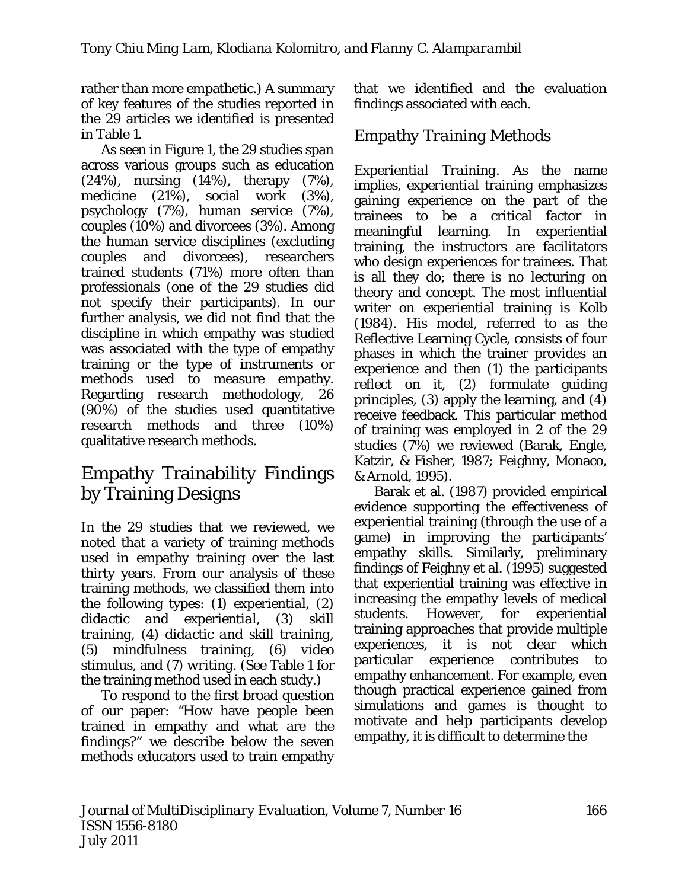rather than more empathetic.) A summary of key features of the studies reported in the 29 articles we identified is presented in Table 1.

As seen in Figure 1, the 29 studies span across various groups such as education (24%), nursing (14%), therapy (7%), medicine (21%), social work (3%), psychology (7%), human service (7%), couples (10%) and divorcees (3%). Among the human service disciplines (excluding couples and divorcees), researchers trained students (71%) more often than professionals (one of the 29 studies did not specify their participants). In our further analysis, we did not find that the discipline in which empathy was studied was associated with the type of empathy training or the type of instruments or methods used to measure empathy. Regarding research methodology, 26 (90%) of the studies used quantitative research methods and three (10%) qualitative research methods.

# Empathy Trainability Findings by Training Designs

In the 29 studies that we reviewed, we noted that a variety of training methods used in empathy training over the last thirty years. From our analysis of these training methods, we classified them into the following types: (1) *experiential,* (2) *didactic and experiential,* (3) *skill training,* (4) *didactic and skill training,*  (5) *mindfulness training,* (6) *video stimulus,* and (7) *writing*. (See Table 1 for the training method used in each study.)

To respond to the first broad question of our paper: *"*How have people been trained in empathy and what are the findings?" we describe below the seven methods educators used to train empathy

that we identified and the evaluation findings associated with each.

# *Empathy Training Methods*

*Experiential Training*. As the name implies, *experiential* training emphasizes gaining experience on the part of the trainees to be a critical factor in meaningful learning. In experiential training, the instructors are facilitators who design experiences for trainees. That is all they do; there is no lecturing on theory and concept. The most influential writer on experiential training is Kolb (1984). His model, referred to as the Reflective Learning Cycle, consists of four phases in which the trainer provides an experience and then (1) the participants reflect on it, (2) formulate guiding principles, (3) apply the learning, and (4) receive feedback. This particular method of training was employed in 2 of the 29 studies (7%) we reviewed (Barak, Engle, Katzir, & Fisher, 1987; Feighny, Monaco, & Arnold, 1995).

Barak et al. (1987) provided empirical evidence supporting the effectiveness of experiential training (through the use of a game) in improving the participants' empathy skills. Similarly, preliminary findings of Feighny et al. (1995) suggested that experiential training was effective in increasing the empathy levels of medical students. However, for experiential training approaches that provide multiple experiences, it is not clear which particular experience contributes to empathy enhancement. For example, even though practical experience gained from simulations and games is thought to motivate and help participants develop empathy, it is difficult to determine the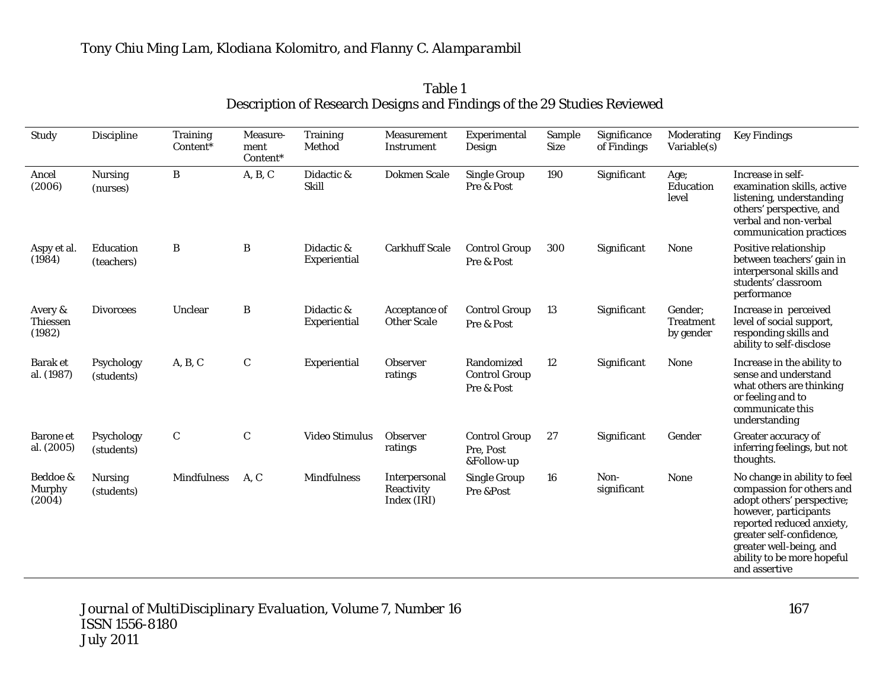| Study                                | <b>Discipline</b>            | <b>Training</b><br>Content* | Measure-<br>ment<br>Content* | <b>Training</b><br>Method  | <b>Measurement</b><br>Instrument           | Experimental<br>Design                           | Sample<br><b>Size</b> | Significance<br>of Findings | Moderating<br>Variable(s)                | <b>Key Findings</b>                                                                                                                                                                                                                                 |
|--------------------------------------|------------------------------|-----------------------------|------------------------------|----------------------------|--------------------------------------------|--------------------------------------------------|-----------------------|-----------------------------|------------------------------------------|-----------------------------------------------------------------------------------------------------------------------------------------------------------------------------------------------------------------------------------------------------|
| Ancel<br>(2006)                      | <b>Nursing</b><br>(nurses)   | B                           | A, B, C                      | Didactic &<br><b>Skill</b> | <b>Dokmen Scale</b>                        | <b>Single Group</b><br>Pre & Post                | 190                   | Significant                 | Age;<br>Education<br>level               | Increase in self-<br>examination skills, active<br>listening, understanding<br>others' perspective, and<br>verbal and non-verbal<br>communication practices                                                                                         |
| Aspy et al.<br>(1984)                | Education<br>(teachers)      | B                           | B                            | Didactic &<br>Experiential | <b>Carkhuff Scale</b>                      | <b>Control Group</b><br>Pre & Post               | 300                   | Significant                 | <b>None</b>                              | Positive relationship<br>between teachers' gain in<br>interpersonal skills and<br>students' classroom<br>performance                                                                                                                                |
| Avery &<br><b>Thiessen</b><br>(1982) | <b>Divorcees</b>             | Unclear                     | $\, {\bf B}$                 | Didactic &<br>Experiential | Acceptance of<br><b>Other Scale</b>        | <b>Control Group</b><br>Pre & Post               | 13                    | Significant                 | Gender;<br><b>Treatment</b><br>by gender | Increase in perceived<br>level of social support,<br>responding skills and<br>ability to self-disclose                                                                                                                                              |
| <b>Barak et</b><br>al. (1987)        | Psychology<br>(students)     | A, B, C                     | $\mathbf C$                  | Experiential               | <b>Observer</b><br>ratings                 | Randomized<br><b>Control Group</b><br>Pre & Post | 12                    | Significant                 | None                                     | Increase in the ability to<br>sense and understand<br>what others are thinking<br>or feeling and to<br>communicate this<br>understanding                                                                                                            |
| <b>Barone</b> et<br>al. (2005)       | Psychology<br>(students)     | $\mathbf C$                 | $\mathbf C$                  | <b>Video Stimulus</b>      | <b>Observer</b><br>ratings                 | <b>Control Group</b><br>Pre, Post<br>&Follow-up  | 27                    | Significant                 | Gender                                   | Greater accuracy of<br>inferring feelings, but not<br>thoughts.                                                                                                                                                                                     |
| Beddoe &<br><b>Murphy</b><br>(2004)  | <b>Nursing</b><br>(students) | <b>Mindfulness</b>          | A, C                         | <b>Mindfulness</b>         | Interpersonal<br>Reactivity<br>Index (IRI) | <b>Single Group</b><br>Pre &Post                 | 16                    | Non-<br>significant         | None                                     | No change in ability to feel<br>compassion for others and<br>adopt others' perspective;<br>however, participants<br>reported reduced anxiety,<br>greater self-confidence,<br>greater well-being, and<br>ability to be more hopeful<br>and assertive |

Table 1 Description of Research Designs and Findings of the 29 Studies Reviewed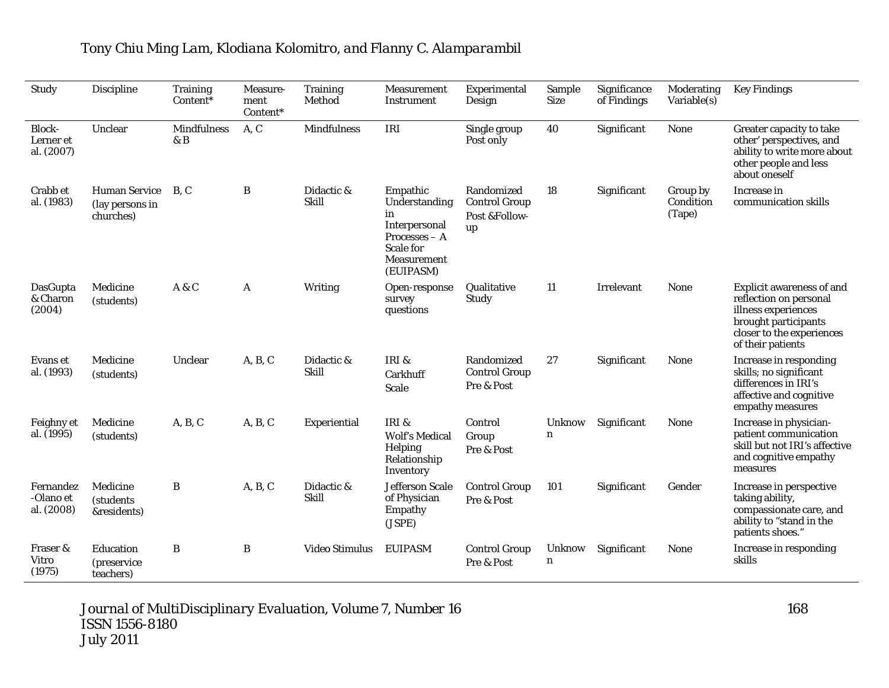| Study                                    | <b>Discipline</b>                                    | <b>Training</b><br>Content* | Measure-<br>ment<br>Content* | <b>Training</b><br>Method  | Measurement<br>Instrument                                                                                    | Experimental<br>Design                                    | Sample<br><b>Size</b>        | Significance<br>of Findings | Moderating<br>Variable(s)       | <b>Key Findings</b>                                                                                                                                         |
|------------------------------------------|------------------------------------------------------|-----------------------------|------------------------------|----------------------------|--------------------------------------------------------------------------------------------------------------|-----------------------------------------------------------|------------------------------|-----------------------------|---------------------------------|-------------------------------------------------------------------------------------------------------------------------------------------------------------|
| <b>Block-</b><br>Lerner et<br>al. (2007) | Unclear                                              | <b>Mindfulness</b><br>& B   | A, C                         | <b>Mindfulness</b>         | IRI                                                                                                          | Single group<br>Post only                                 | 40                           | Significant                 | None                            | Greater capacity to take<br>other' perspectives, and<br>ability to write more about<br>other people and less<br>about oneself                               |
| Crabb et<br>al. (1983)                   | <b>Human Service</b><br>(lay persons in<br>churches) | B.C                         | B                            | Didactic &<br><b>Skill</b> | Empathic<br>Understanding<br>in<br>Interpersonal<br>$Processes - A$<br>Scale for<br>Measurement<br>(EUIPASM) | Randomized<br><b>Control Group</b><br>Post &Follow-<br>up | 18                           | Significant                 | Group by<br>Condition<br>(Tape) | Increase in<br>communication skills                                                                                                                         |
| DasGupta<br>& Charon<br>(2004)           | Medicine<br>(students)                               | A & C                       | A                            | Writing                    | Open-response<br>survey<br>questions                                                                         | Qualitative<br>Study                                      | 11                           | Irrelevant                  | <b>None</b>                     | <b>Explicit awareness of and</b><br>reflection on personal<br>illness experiences<br>brought participants<br>closer to the experiences<br>of their patients |
| Evans et<br>al. (1993)                   | Medicine<br>(students)                               | Unclear                     | A, B, C                      | Didactic &<br><b>Skill</b> | IRI &<br>Carkhuff<br><b>Scale</b>                                                                            | Randomized<br><b>Control Group</b><br>Pre & Post          | 27                           | Significant                 | <b>None</b>                     | Increase in responding<br>skills; no significant<br>differences in IRI's<br>affective and cognitive<br>empathy measures                                     |
| Feighny et<br>al. (1995)                 | Medicine<br>(students)                               | A, B, C                     | A, B, C                      | Experiential               | IRI &<br><b>Wolf's Medical</b><br>Helping<br>Relationship<br>Inventory                                       | Control<br>Group<br>Pre & Post                            | <b>Unknow</b><br>$\mathbf n$ | Significant                 | None                            | Increase in physician-<br>patient communication<br>skill but not IRI's affective<br>and cognitive empathy<br>measures                                       |
| Fernandez<br>-Olano et<br>al. (2008)     | Medicine<br><i>(students)</i><br>&residents)         | B                           | A, B, C                      | Didactic &<br><b>Skill</b> | <b>Jefferson Scale</b><br>of Physician<br>Empathy<br>(JSPE)                                                  | <b>Control Group</b><br>Pre & Post                        | 101                          | Significant                 | Gender                          | Increase in perspective<br>taking ability,<br>compassionate care, and<br>ability to "stand in the<br>patients shoes."                                       |
| Fraser &<br>Vitro<br>(1975)              | Education<br><i>(preservice)</i><br>teachers)        | $\bf{B}$                    | B                            | Video Stimulus             | <b>EUIPASM</b>                                                                                               | <b>Control Group</b><br>Pre & Post                        | Unknow<br>$\mathbf n$        | Significant                 | None                            | Increase in responding<br>skills                                                                                                                            |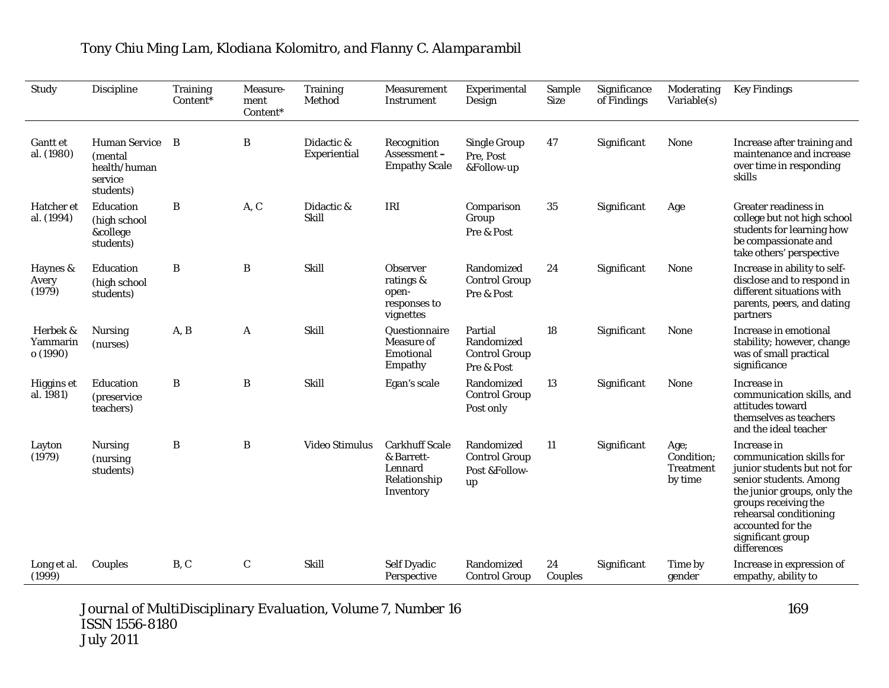| Study                            | Discipline                                                              | <b>Training</b><br>Content* | Measure-<br>ment<br>Content* | <b>Training</b><br>Method  | Measurement<br>Instrument                                                   | Experimental<br>Design                                      | Sample<br><b>Size</b> | Significance<br>of Findings | Moderating<br>Variable(s)                         | <b>Key Findings</b>                                                                                                                                                                                                                        |
|----------------------------------|-------------------------------------------------------------------------|-----------------------------|------------------------------|----------------------------|-----------------------------------------------------------------------------|-------------------------------------------------------------|-----------------------|-----------------------------|---------------------------------------------------|--------------------------------------------------------------------------------------------------------------------------------------------------------------------------------------------------------------------------------------------|
| <b>Gantt et</b><br>al. (1980)    | <b>Human Service</b><br>(mental<br>health/human<br>service<br>students) | B                           | B                            | Didactic &<br>Experiential | Recognition<br>Assessment-<br><b>Empathy Scale</b>                          | <b>Single Group</b><br>Pre. Post<br>&Follow-up              | 47                    | Significant                 | <b>None</b>                                       | Increase after training and<br>maintenance and increase<br>over time in responding<br>skills                                                                                                                                               |
| Hatcher et<br>al. (1994)         | Education<br>(high school<br>&college<br>students)                      | B                           | A, C                         | Didactic &<br><b>Skill</b> | IRI                                                                         | Comparison<br>Group<br>Pre & Post                           | 35                    | Significant                 | Age                                               | <b>Greater readiness in</b><br>college but not high school<br>students for learning how<br>be compassionate and<br>take others' perspective                                                                                                |
| Haynes &<br>Avery<br>(1979)      | Education<br>(high school<br>students)                                  | B                           | B                            | Skill                      | <b>Observer</b><br>ratings &<br>open-<br>responses to<br>vignettes          | Randomized<br><b>Control Group</b><br>Pre & Post            | 24                    | Significant                 | <b>None</b>                                       | Increase in ability to self-<br>disclose and to respond in<br>different situations with<br>parents, peers, and dating<br>partners                                                                                                          |
| Herbek &<br>Yammarin<br>o (1990) | <b>Nursing</b><br>(nurses)                                              | A, B                        | A                            | Skill                      | Questionnaire<br>Measure of<br>Emotional<br>Empathy                         | Partial<br>Randomized<br><b>Control Group</b><br>Pre & Post | 18                    | Significant                 | <b>None</b>                                       | Increase in emotional<br>stability; however, change<br>was of small practical<br>significance                                                                                                                                              |
| Higgins et<br>al. 1981)          | Education<br><i>(preservice)</i><br>teachers)                           | $\, {\bf B}$                | B                            | Skill                      | Egan's scale                                                                | Randomized<br><b>Control Group</b><br>Post only             | 13                    | Significant                 | None                                              | Increase in<br>communication skills, and<br>attitudes toward<br>themselves as teachers<br>and the ideal teacher                                                                                                                            |
| Layton<br>(1979)                 | <b>Nursing</b><br>(nursing)<br>students)                                | B                           | B                            | Video Stimulus             | <b>Carkhuff Scale</b><br>& Barrett-<br>Lennard<br>Relationship<br>Inventory | Randomized<br><b>Control Group</b><br>Post &Follow-<br>up   | 11                    | Significant                 | Age;<br>Condition:<br><b>Treatment</b><br>by time | Increase in<br>communication skills for<br>junior students but not for<br>senior students. Among<br>the junior groups, only the<br>groups receiving the<br>rehearsal conditioning<br>accounted for the<br>significant group<br>differences |
| Long et al.<br>(1999)            | Couples                                                                 | B, C                        | $\mathbf C$                  | <b>Skill</b>               | <b>Self Dyadic</b><br>Perspective                                           | Randomized<br><b>Control Group</b>                          | 24<br>Couples         | Significant                 | Time by<br>gender                                 | Increase in expression of<br>empathy, ability to                                                                                                                                                                                           |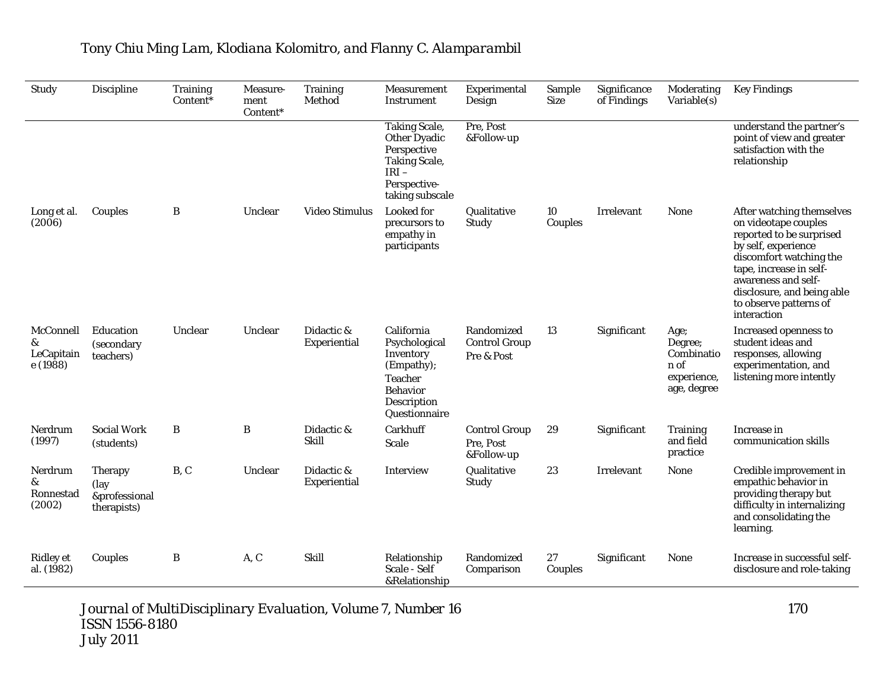| Study                                    | <b>Discipline</b>                                      | <b>Training</b><br>Content* | Measure-<br>ment<br>Content* | <b>Training</b><br>Method  | Measurement<br>Instrument                                                                                                        | Experimental<br>Design                           | Sample<br><b>Size</b> | Significance<br>of Findings | Moderating<br>Variable(s)                                           | <b>Key Findings</b>                                                                                                                                                                                                                                      |
|------------------------------------------|--------------------------------------------------------|-----------------------------|------------------------------|----------------------------|----------------------------------------------------------------------------------------------------------------------------------|--------------------------------------------------|-----------------------|-----------------------------|---------------------------------------------------------------------|----------------------------------------------------------------------------------------------------------------------------------------------------------------------------------------------------------------------------------------------------------|
|                                          |                                                        |                             |                              |                            | <b>Taking Scale,</b><br><b>Other Dyadic</b><br>Perspective<br><b>Taking Scale,</b><br>$IRI -$<br>Perspective-<br>taking subscale | Pre, Post<br>&Follow-up                          |                       |                             |                                                                     | understand the partner's<br>point of view and greater<br>satisfaction with the<br>relationship                                                                                                                                                           |
| Long et al.<br>(2006)                    | Couples                                                | B                           | Unclear                      | Video Stimulus             | <b>Looked</b> for<br>precursors to<br>empathy in<br>participants                                                                 | Qualitative<br>Study                             | 10<br>Couples         | <b>Irrelevant</b>           | None                                                                | After watching themselves<br>on videotape couples<br>reported to be surprised<br>by self, experience<br>discomfort watching the<br>tape, increase in self-<br>awareness and self-<br>disclosure, and being able<br>to observe patterns of<br>interaction |
| McConnell<br>&<br>LeCapitain<br>e (1988) | Education<br><i>(secondary)</i><br>teachers)           | Unclear                     | Unclear                      | Didactic &<br>Experiential | California<br>Psychological<br>Inventory<br>(Empathy);<br><b>Teacher</b><br><b>Behavior</b><br>Description<br>Questionnaire      | Randomized<br><b>Control Group</b><br>Pre & Post | 13                    | Significant                 | Age;<br>Degree;<br>Combinatio<br>n of<br>experience,<br>age, degree | Increased openness to<br>student ideas and<br>responses, allowing<br>experimentation, and<br>listening more intently                                                                                                                                     |
| Nerdrum<br>(1997)                        | <b>Social Work</b><br>(students)                       | B                           | B                            | Didactic &<br><b>Skill</b> | Carkhuff<br><b>Scale</b>                                                                                                         | <b>Control Group</b><br>Pre, Post<br>&Follow-up  | 29                    | Significant                 | <b>Training</b><br>and field<br>practice                            | Increase in<br>communication skills                                                                                                                                                                                                                      |
| Nerdrum<br>&<br>Ronnestad<br>(2002)      | <b>Therapy</b><br>(lay<br>&professional<br>therapists) | B, C                        | Unclear                      | Didactic &<br>Experiential | Interview                                                                                                                        | Qualitative<br>Study                             | 23                    | Irrelevant                  | None                                                                | Credible improvement in<br>empathic behavior in<br>providing therapy but<br>difficulty in internalizing<br>and consolidating the<br>learning.                                                                                                            |
| <b>Ridley</b> et<br>al. (1982)           | Couples                                                | B                           | A, C                         | Skill                      | Relationship<br>Scale - Self<br>&Relationship                                                                                    | Randomized<br>Comparison                         | 27<br>Couples         | Significant                 | None                                                                | Increase in successful self-<br>disclosure and role-taking                                                                                                                                                                                               |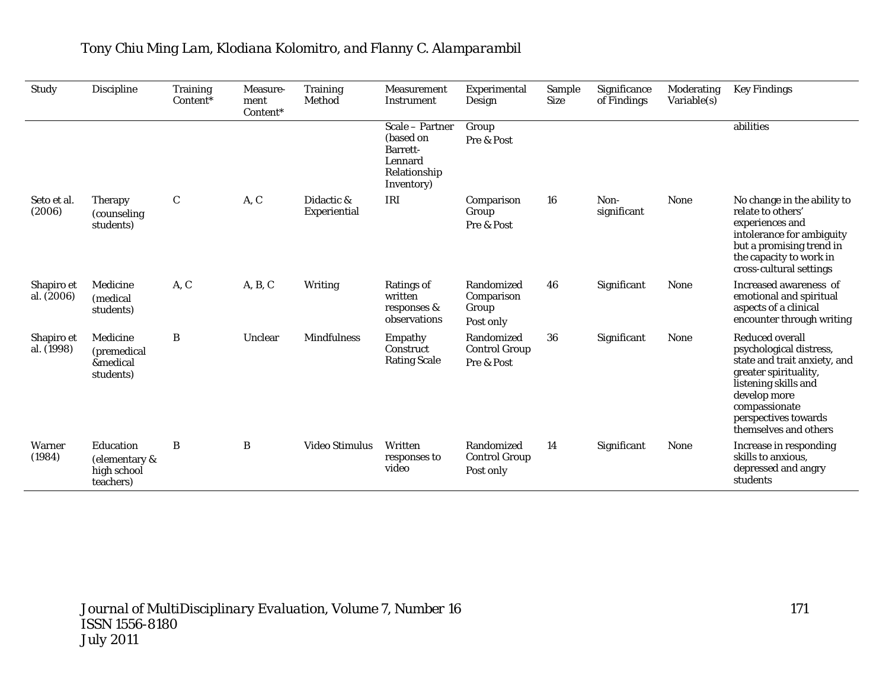| Study                    | Discipline                                             | <b>Training</b><br>Content* | Measure-<br>ment<br>Content* | <b>Training</b><br>Method  | <b>Measurement</b><br>Instrument                                                  | Experimental<br>Design                           | Sample<br><b>Size</b> | Significance<br>of Findings | Moderating<br>Variable(s) | <b>Key Findings</b>                                                                                                                                                                                           |
|--------------------------|--------------------------------------------------------|-----------------------------|------------------------------|----------------------------|-----------------------------------------------------------------------------------|--------------------------------------------------|-----------------------|-----------------------------|---------------------------|---------------------------------------------------------------------------------------------------------------------------------------------------------------------------------------------------------------|
|                          |                                                        |                             |                              |                            | Scale – Partner<br>(based on<br>Barrett-<br>Lennard<br>Relationship<br>Inventory) | Group<br>Pre & Post                              |                       |                             |                           | abilities                                                                                                                                                                                                     |
| Seto et al.<br>(2006)    | <b>Therapy</b><br>(counseling)<br>students)            | $\mathbf C$                 | A, C                         | Didactic &<br>Experiential | IRI                                                                               | Comparison<br>Group<br>Pre & Post                | 16                    | Non-<br>significant         | None                      | No change in the ability to<br>relate to others'<br>experiences and<br>intolerance for ambiguity<br>but a promising trend in<br>the capacity to work in<br>cross-cultural settings                            |
| Shapiro et<br>al. (2006) | Medicine<br>(medical<br>students)                      | A, C                        | A, B, C                      | Writing                    | <b>Ratings of</b><br>written<br>responses &<br>observations                       | Randomized<br>Comparison<br>Group<br>Post only   | 46                    | Significant                 | <b>None</b>               | Increased awareness of<br>emotional and spiritual<br>aspects of a clinical<br>encounter through writing                                                                                                       |
| Shapiro et<br>al. (1998) | Medicine<br>(premedical<br>&medical<br>students)       | B                           | Unclear                      | <b>Mindfulness</b>         | Empathy<br>Construct<br><b>Rating Scale</b>                                       | Randomized<br><b>Control Group</b><br>Pre & Post | 36                    | Significant                 | <b>None</b>               | Reduced overall<br>psychological distress,<br>state and trait anxiety, and<br>greater spirituality,<br>listening skills and<br>develop more<br>compassionate<br>perspectives towards<br>themselves and others |
| Warner<br>(1984)         | Education<br>(elementary &<br>high school<br>teachers) | B                           | B                            | Video Stimulus             | Written<br>responses to<br>video                                                  | Randomized<br><b>Control Group</b><br>Post only  | 14                    | Significant                 | <b>None</b>               | Increase in responding<br>skills to anxious.<br>depressed and angry<br>students                                                                                                                               |

# *Tony Chiu Ming Lam, Klodiana Kolomitro, and Flanny C. Alamparambil*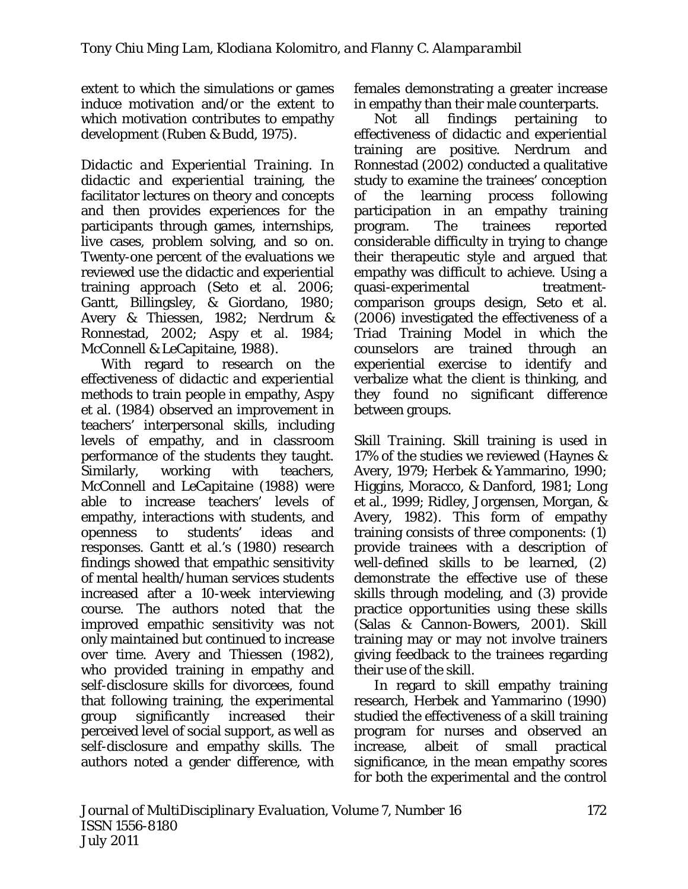extent to which the simulations or games induce motivation and/or the extent to which motivation contributes to empathy development (Ruben & Budd, 1975).

*Didactic and Experiential Training*. In *didactic and experiential* training, the facilitator lectures on theory and concepts and then provides experiences for the participants through games, internships, live cases, problem solving, and so on. Twenty-one percent of the evaluations we reviewed use the didactic and experiential training approach (Seto et al. 2006; Gantt, Billingsley, & Giordano, 1980; Avery & Thiessen, 1982; Nerdrum & Ronnestad, 2002; Aspy et al. 1984; McConnell & LeCapitaine, 1988).

With regard to research on the effectiveness of *didactic and experiential methods* to train people in empathy, Aspy et al. (1984) observed an improvement in teachers' interpersonal skills, including levels of empathy, and in classroom performance of the students they taught. Similarly, working with teachers, McConnell and LeCapitaine (1988) were able to increase teachers' levels of empathy, interactions with students, and openness to students' ideas and responses. Gantt et al.'s (1980) research findings showed that empathic sensitivity of mental health/human services students increased after a 10-week interviewing course. The authors noted that the improved empathic sensitivity was not only maintained but continued to increase over time. Avery and Thiessen (1982), who provided training in empathy and self-disclosure skills for divorcees, found that following training, the experimental group significantly increased their perceived level of social support, as well as self-disclosure and empathy skills. The authors noted a gender difference, with

females demonstrating a greater increase in empathy than their male counterparts.

Not all findings pertaining to effectiveness of *didactic and experiential*  training are positive. Nerdrum and Ronnestad (2002) conducted a qualitative study to examine the trainees' conception of the learning process following participation in an empathy training program. The trainees reported considerable difficulty in trying to change their therapeutic style and argued that empathy was difficult to achieve. Using a quasi-experimental treatmentcomparison groups design, Seto et al. (2006) investigated the effectiveness of a Triad Training Model in which the counselors are trained through an experiential exercise to identify and verbalize what the client is thinking, and they found no significant difference between groups.

*Skill Training*. *Skill* training is used in 17% of the studies we reviewed (Haynes & Avery, 1979; Herbek & Yammarino, 1990; Higgins, Moracco, & Danford, 1981; Long et al., 1999; Ridley, Jorgensen, Morgan, & Avery, 1982). This form of empathy training consists of three components: (1) provide trainees with a description of well-defined skills to be learned, (2) demonstrate the effective use of these skills through modeling, and (3) provide practice opportunities using these skills (Salas & Cannon-Bowers, 2001). Skill training may or may not involve trainers giving feedback to the trainees regarding their use of the skill.

In regard to *skill* empathy training research, Herbek and Yammarino (1990) studied the effectiveness of a *skill* training program for nurses and observed an increase, albeit of small practical significance, in the mean empathy scores for both the experimental and the control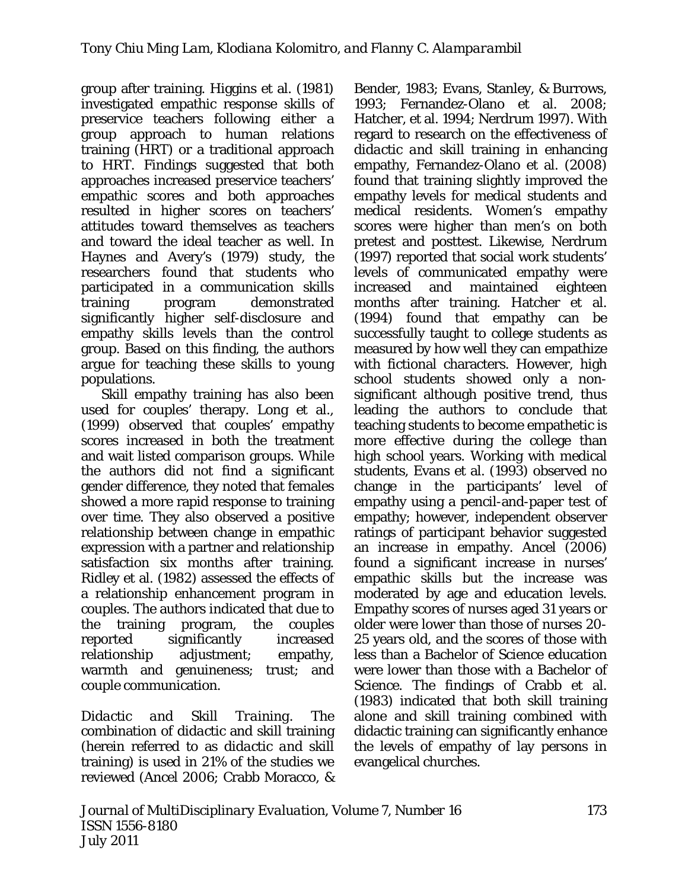group after training. Higgins et al. (1981) investigated empathic response skills of preservice teachers following either a group approach to human relations training (HRT) or a traditional approach to HRT. Findings suggested that both approaches increased preservice teachers' empathic scores and both approaches resulted in higher scores on teachers' attitudes toward themselves as teachers and toward the ideal teacher as well. In Haynes and Avery's (1979) study, the researchers found that students who participated in a communication skills training program demonstrated significantly higher self-disclosure and empathy skills levels than the control group. Based on this finding, the authors argue for teaching these skills to young populations.

*Skill* empathy training has also been used for couples' therapy. Long et al., (1999) observed that couples' empathy scores increased in both the treatment and wait listed comparison groups. While the authors did not find a significant gender difference, they noted that females showed a more rapid response to training over time. They also observed a positive relationship between change in empathic expression with a partner and relationship satisfaction six months after training. Ridley et al. (1982) assessed the effects of a relationship enhancement program in couples. The authors indicated that due to the training program, the couples reported significantly increased relationship adjustment; empathy, warmth and genuineness; trust; and couple communication.

*Didactic and Skill Training*. The combination of *didactic* and *skill* training (herein referred to as *didactic and skill*  training) is used in 21% of the studies we reviewed (Ancel 2006; Crabb Moracco, &

Bender, 1983; Evans, Stanley, & Burrows, 1993; Fernandez-Olano et al. 2008; Hatcher, et al. 1994; Nerdrum 1997). With regard to research on the effectiveness of *didactic and skill* training in enhancing empathy, Fernandez-Olano et al. (2008) found that training slightly improved the empathy levels for medical students and medical residents. Women's empathy scores were higher than men's on both pretest and posttest. Likewise, Nerdrum (1997) reported that social work students' levels of communicated empathy were increased and maintained eighteen months after training. Hatcher et al. (1994) found that empathy can be successfully taught to college students as measured by how well they can empathize with fictional characters. However, high school students showed only a nonsignificant although positive trend, thus leading the authors to conclude that teaching students to become empathetic is more effective during the college than high school years. Working with medical students, Evans et al. (1993) observed no change in the participants' level of empathy using a pencil-and-paper test of empathy; however, independent observer ratings of participant behavior suggested an increase in empathy. Ancel (2006) found a significant increase in nurses' empathic skills but the increase was moderated by age and education levels. Empathy scores of nurses aged 31 years or older were lower than those of nurses 20- 25 years old, and the scores of those with less than a Bachelor of Science education were lower than those with a Bachelor of Science. The findings of Crabb et al. (1983) indicated that both skill training alone and skill training combined with didactic training can significantly enhance the levels of empathy of lay persons in evangelical churches.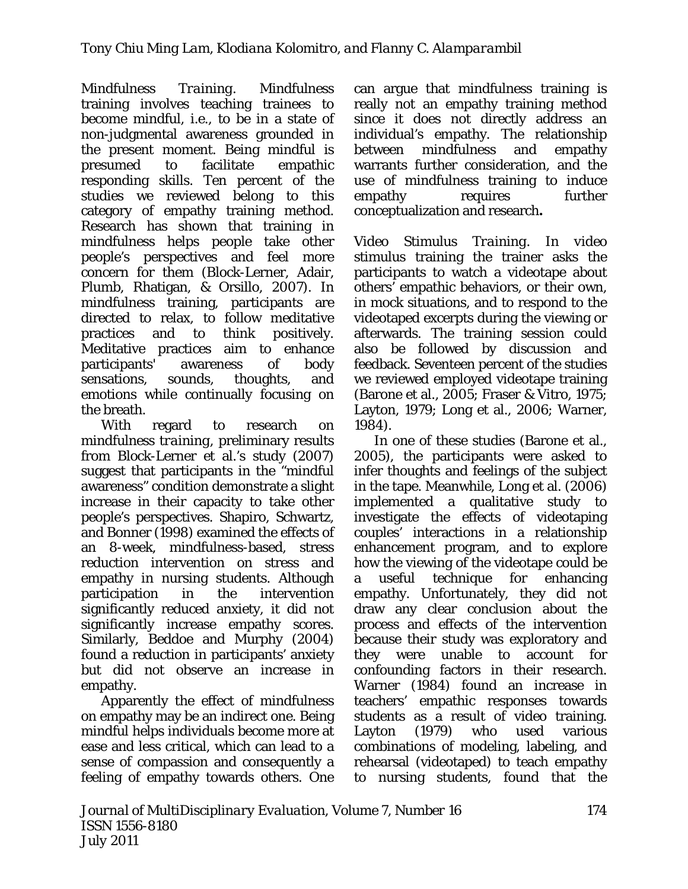*Mindfulness Training*. *Mindfulness* training involves teaching trainees to become mindful, i.e., to be in a state of non-judgmental awareness grounded in the present moment. Being mindful is presumed to facilitate empathic responding skills. Ten percent of the studies we reviewed belong to this category of empathy training method. Research has shown that training in mindfulness helps people take other people's perspectives and feel more concern for them (Block-Lerner, Adair, Plumb, Rhatigan, & Orsillo, 2007). In mindfulness training, participants are directed to relax, to follow meditative practices and to think positively. Meditative practices aim to enhance participants' awareness of body sensations, sounds, thoughts, and emotions while continually focusing on the breath.

With regard to research on *mindfulness training*, preliminary results from Block-Lerner et al.'s study (2007) suggest that participants in the "mindful awareness" condition demonstrate a slight increase in their capacity to take other people's perspectives. Shapiro, Schwartz, and Bonner (1998) examined the effects of an 8-week, mindfulness-based, stress reduction intervention on stress and empathy in nursing students. Although participation in the intervention significantly reduced anxiety, it did not significantly increase empathy scores. Similarly, Beddoe and Murphy (2004) found a reduction in participants' anxiety but did not observe an increase in empathy.

Apparently the effect of mindfulness on empathy may be an indirect one. Being mindful helps individuals become more at ease and less critical, which can lead to a sense of compassion and consequently a feeling of empathy towards others. One

can argue that mindfulness training is really not an empathy training method since it does not directly address an individual's empathy. The relationship between mindfulness and empathy warrants further consideration, and the use of mindfulness training to induce empathy requires further conceptualization and research**.** 

*Video Stimulus Training*. In *video stimulus* training the trainer asks the participants to watch a videotape about others' empathic behaviors, or their own, in mock situations, and to respond to the videotaped excerpts during the viewing or afterwards. The training session could also be followed by discussion and feedback. Seventeen percent of the studies we reviewed employed videotape training (Barone et al., 2005; Fraser & Vitro, 1975; Layton, 1979; Long et al., 2006; Warner, 1984).

In one of these studies (Barone et al., 2005), the participants were asked to infer thoughts and feelings of the subject in the tape. Meanwhile, Long et al. (2006) implemented a qualitative study to investigate the effects of videotaping couples' interactions in a relationship enhancement program, and to explore how the viewing of the videotape could be a useful technique for enhancing empathy. Unfortunately, they did not draw any clear conclusion about the process and effects of the intervention because their study was exploratory and they were unable to account for confounding factors in their research. Warner (1984) found an increase in teachers' empathic responses towards students as a result of video training. Layton (1979) who used various combinations of modeling, labeling, and rehearsal (videotaped) to teach empathy to nursing students, found that the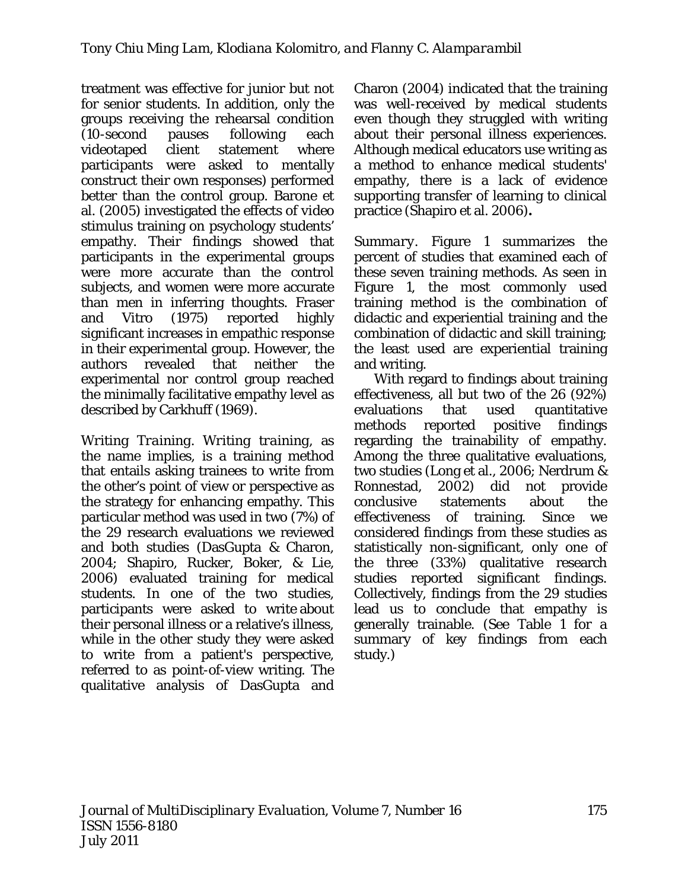treatment was effective for junior but not for senior students. In addition, only the groups receiving the rehearsal condition (10-second pauses following each videotaped client statement where participants were asked to mentally construct their own responses) performed better than the control group. Barone et al. (2005) investigated the effects of *video stimulus* training on psychology students' empathy. Their findings showed that participants in the experimental groups were more accurate than the control subjects, and women were more accurate than men in inferring thoughts. Fraser and Vitro (1975) reported highly significant increases in empathic response in their experimental group. However, the authors revealed that neither the experimental nor control group reached the minimally facilitative empathy level as described by Carkhuff (1969).

*Writing Training*. *Writing training,* as the name implies, is a training method that entails asking trainees to write from the other's point of view or perspective as the strategy for enhancing empathy. This particular method was used in two (7%) of the 29 research evaluations we reviewed and both studies (DasGupta & Charon, 2004; Shapiro, Rucker, Boker, & Lie, 2006) evaluated training for medical students. In one of the two studies, participants were asked to write about their personal illness or a relative's illness, while in the other study they were asked to write from a patient's perspective, referred to as point-of-view writing. The qualitative analysis of DasGupta and

Charon (2004) indicated that the training was well-received by medical students even though they struggled with writing about their personal illness experiences. Although medical educators use writing as a method to enhance medical students' empathy, there is a lack of evidence supporting transfer of learning to clinical practice (Shapiro et al. 2006)**.** 

*Summary*. Figure 1 summarizes the percent of studies that examined each of these seven training methods. As seen in Figure 1, the most commonly used training method is the combination of didactic and experiential training and the combination of didactic and skill training; the least used are experiential training and writing.

With regard to findings about training effectiveness, all but two of the 26 (92%) evaluations that used quantitative methods reported positive findings regarding the trainability of empathy. Among the three qualitative evaluations, two studies (Long et al., 2006; Nerdrum & Ronnestad, 2002) did not provide conclusive statements about the effectiveness of training. Since we considered findings from these studies as statistically non-significant, only one of the three (33%) qualitative research studies reported significant findings. Collectively, findings from the 29 studies lead us to conclude that empathy is generally trainable. (See Table 1 for a summary of key findings from each study.)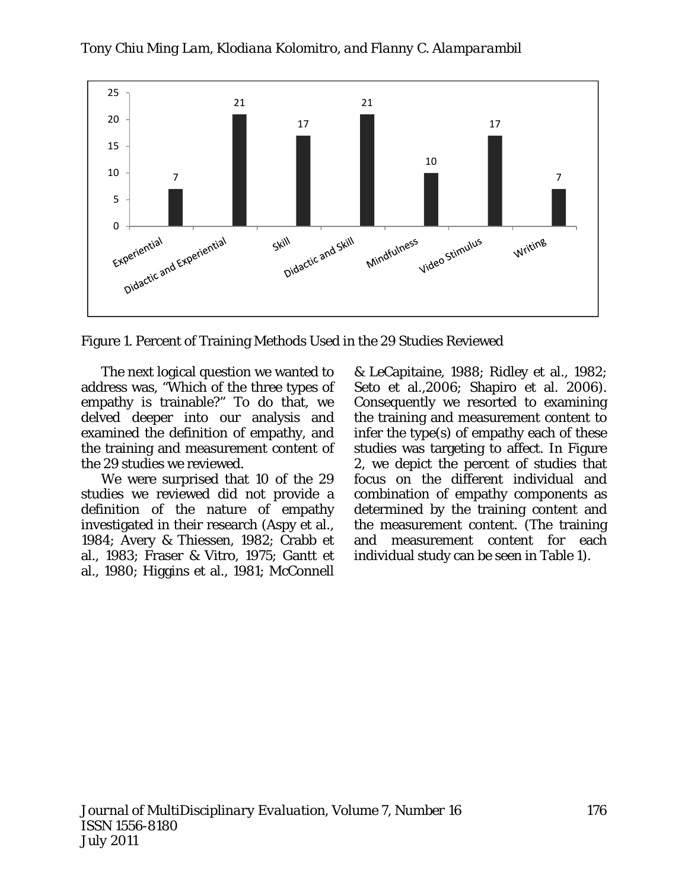

Figure 1. Percent of Training Methods Used in the 29 Studies Reviewed

The next logical question we wanted to address was, "Which of the three types of empathy is trainable?" To do that, we delved deeper into our analysis and examined the definition of empathy, and the training and measurement content of the 29 studies we reviewed.

We were surprised that 10 of the 29 studies we reviewed did not provide a definition of the nature of empathy investigated in their research (Aspy et al., 1984; Avery & Thiessen, 1982; Crabb et al., 1983; Fraser & Vitro, 1975; Gantt et al., 1980; Higgins et al., 1981; McConnell

& LeCapitaine, 1988; Ridley et al., 1982; Seto et al.*,*2006; Shapiro et al. 2006). Consequently we resorted to examining the training and measurement content to infer the type(s) of empathy each of these studies was targeting to affect. In Figure 2, we depict the percent of studies that focus on the different individual and combination of empathy components as determined by the training content and the measurement content. (The training and measurement content for each individual study can be seen in Table 1).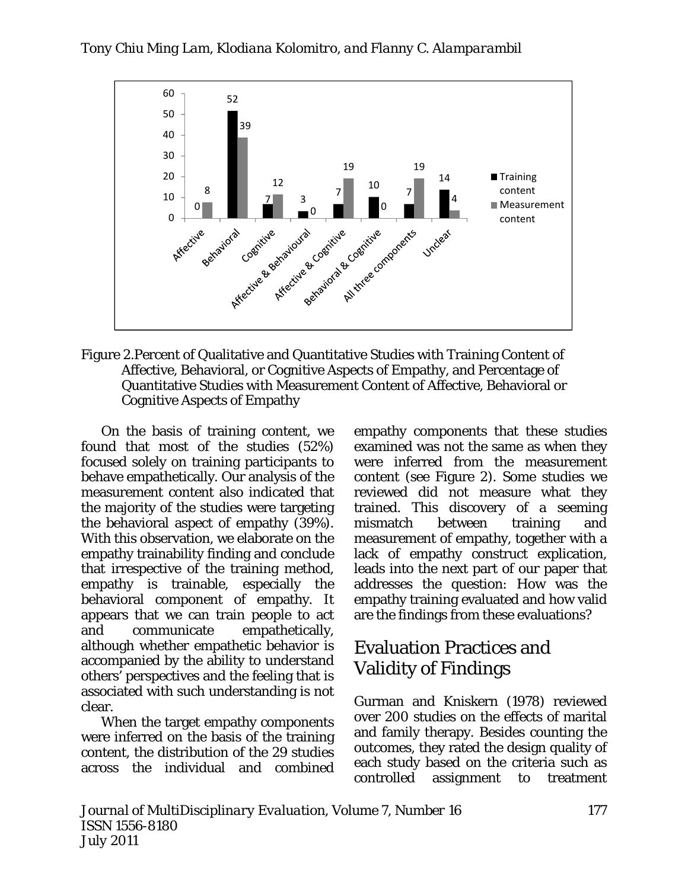

Figure 2.Percent of Qualitative and Quantitative Studies with Training Content of Affective, Behavioral, or Cognitive Aspects of Empathy, and Percentage of Quantitative Studies with Measurement Content of Affective, Behavioral or Cognitive Aspects of Empathy

On the basis of training content, we found that most of the studies (52%) focused solely on training participants to behave empathetically. Our analysis of the measurement content also indicated that the majority of the studies were targeting the behavioral aspect of empathy (39%). With this observation, we elaborate on the empathy trainability finding and conclude that irrespective of the training method, empathy is trainable, especially the behavioral component of empathy. It appears that we can train people to act and communicate empathetically, although whether empathetic behavior is accompanied by the ability to understand others' perspectives and the feeling that is associated with such understanding is not clear.

When the target empathy components were inferred on the basis of the training content, the distribution of the 29 studies across the individual and combined empathy components that these studies examined was not the same as when they were inferred from the measurement content (see Figure 2). Some studies we reviewed did not measure what they trained. This discovery of a seeming mismatch between training and measurement of empathy, together with a lack of empathy construct explication, leads into the next part of our paper that addresses the question: How was the empathy training evaluated and how valid are the findings from these evaluations?

# Evaluation Practices and Validity of Findings

Gurman and Kniskern (1978) reviewed over 200 studies on the effects of marital and family therapy. Besides counting the outcomes, they rated the design quality of each study based on the criteria such as controlled assignment to treatment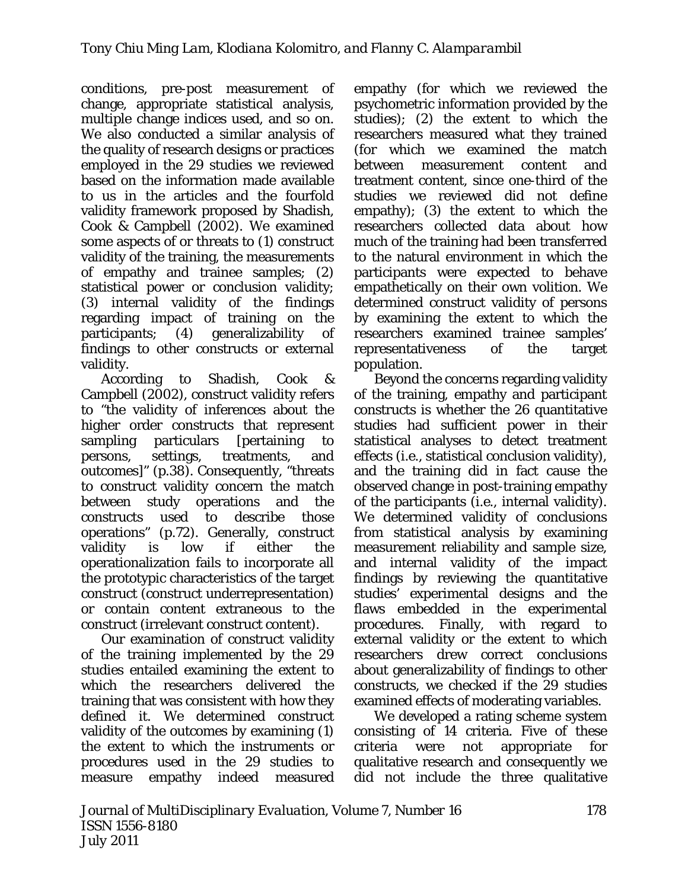conditions, pre-post measurement of change, appropriate statistical analysis, multiple change indices used, and so on. We also conducted a similar analysis of the quality of research designs or practices employed in the 29 studies we reviewed based on the information made available to us in the articles and the fourfold validity framework proposed by Shadish, Cook & Campbell (2002). We examined some aspects of or threats to (1) construct validity of the training, the measurements of empathy and trainee samples; (2) statistical power or conclusion validity; (3) internal validity of the findings regarding impact of training on the participants; (4) generalizability of findings to other constructs or external validity.

According to Shadish, Cook & Campbell (2002), construct validity refers to "the validity of inferences about the higher order constructs that represent sampling particulars [pertaining to persons, settings, treatments, and outcomes]" (p.38). Consequently, "threats to construct validity concern the match between study operations and the constructs used to describe those operations" (p.72). Generally, construct validity is low if either the operationalization fails to incorporate all the prototypic characteristics of the target construct (construct underrepresentation) or contain content extraneous to the construct (irrelevant construct content).

Our examination of construct validity of the training implemented by the 29 studies entailed examining the extent to which the researchers delivered the training that was consistent with how they defined it. We determined construct validity of the outcomes by examining (1) the extent to which the instruments or procedures used in the 29 studies to measure empathy indeed measured

empathy (for which we reviewed the psychometric information provided by the studies); (2) the extent to which the researchers measured what they trained (for which we examined the match between measurement content and treatment content, since one-third of the studies we reviewed did not define empathy); (3) the extent to which the researchers collected data about how much of the training had been transferred to the natural environment in which the participants were expected to behave empathetically on their own volition. We determined construct validity of persons by examining the extent to which the researchers examined trainee samples' representativeness of the target population.

Beyond the concerns regarding validity of the training, empathy and participant constructs is whether the 26 quantitative studies had sufficient power in their statistical analyses to detect treatment effects (i.e., statistical conclusion validity), and the training did in fact cause the observed change in post-training empathy of the participants (i.e., internal validity). We determined validity of conclusions from statistical analysis by examining measurement reliability and sample size, and internal validity of the impact findings by reviewing the quantitative studies' experimental designs and the flaws embedded in the experimental procedures. Finally, with regard to external validity or the extent to which researchers drew correct conclusions about generalizability of findings to other constructs, we checked if the 29 studies examined effects of moderating variables.

We developed a rating scheme system consisting of 14 criteria. Five of these criteria were not appropriate for qualitative research and consequently we did not include the three qualitative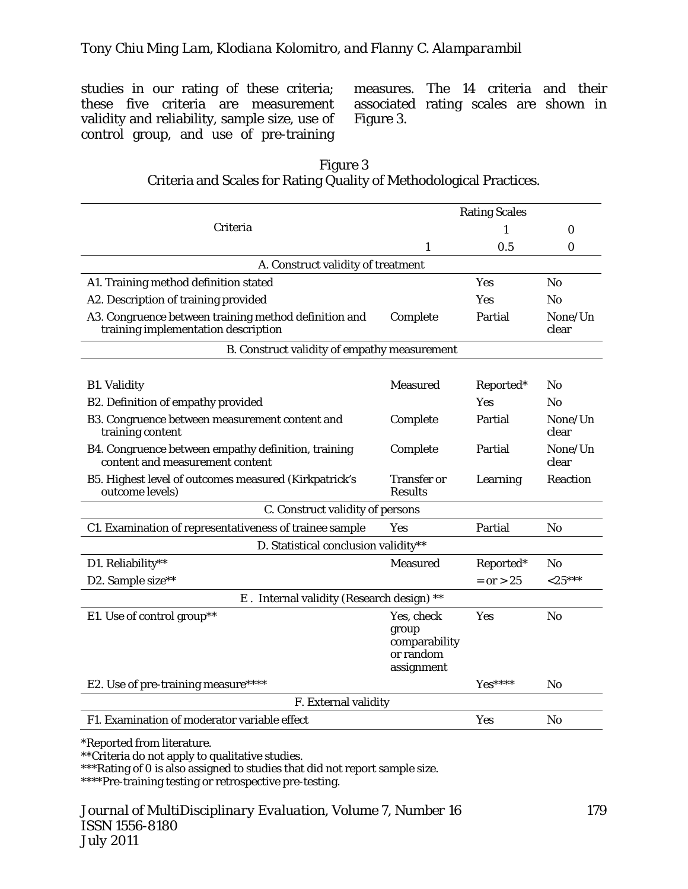studies in our rating of these criteria; these five criteria are measurement validity and reliability, sample size, use of control group, and use of pre-training

measures. The 14 criteria and their associated rating scales are shown in Figure 3.

| Figure 3                                                            |
|---------------------------------------------------------------------|
| Criteria and Scales for Rating Quality of Methodological Practices. |

|                                                                                              |                                                                 | <b>Rating Scales</b> |                  |  |  |  |  |  |  |  |  |
|----------------------------------------------------------------------------------------------|-----------------------------------------------------------------|----------------------|------------------|--|--|--|--|--|--|--|--|
| Criteria                                                                                     |                                                                 |                      | $\Omega$         |  |  |  |  |  |  |  |  |
|                                                                                              | 1                                                               | 0.5                  | $\bf{0}$         |  |  |  |  |  |  |  |  |
| A. Construct validity of treatment                                                           |                                                                 |                      |                  |  |  |  |  |  |  |  |  |
| A1. Training method definition stated                                                        | Yes                                                             | N <sub>o</sub>       |                  |  |  |  |  |  |  |  |  |
| A2. Description of training provided                                                         |                                                                 | <b>Yes</b>           | No.              |  |  |  |  |  |  |  |  |
| A3. Congruence between training method definition and<br>training implementation description | Complete                                                        | Partial              | None/Un<br>clear |  |  |  |  |  |  |  |  |
| B. Construct validity of empathy measurement                                                 |                                                                 |                      |                  |  |  |  |  |  |  |  |  |
| <b>B1. Validity</b>                                                                          | <b>Measured</b>                                                 | Reported*            | N <sub>0</sub>   |  |  |  |  |  |  |  |  |
| B2. Definition of empathy provided                                                           |                                                                 | Yes                  | N <sub>0</sub>   |  |  |  |  |  |  |  |  |
| B3. Congruence between measurement content and<br>training content                           | Complete                                                        | Partial              | None/Un<br>clear |  |  |  |  |  |  |  |  |
| B4. Congruence between empathy definition, training<br>content and measurement content       | Complete                                                        | Partial              | None/Un<br>clear |  |  |  |  |  |  |  |  |
| B5. Highest level of outcomes measured (Kirkpatrick's<br>outcome levels)                     | <b>Transfer or</b><br><b>Results</b>                            | Learning             | Reaction         |  |  |  |  |  |  |  |  |
| C. Construct validity of persons                                                             |                                                                 |                      |                  |  |  |  |  |  |  |  |  |
| C1. Examination of representativeness of trainee sample                                      | Partial                                                         | N <sub>o</sub>       |                  |  |  |  |  |  |  |  |  |
| D. Statistical conclusion validity**                                                         |                                                                 |                      |                  |  |  |  |  |  |  |  |  |
| D1. Reliability**                                                                            | <b>Measured</b>                                                 | Reported*            | N <sub>0</sub>   |  |  |  |  |  |  |  |  |
| D2. Sample size**                                                                            |                                                                 | $= or > 25$          | $<$ 25***        |  |  |  |  |  |  |  |  |
| E. Internal validity (Research design) **                                                    |                                                                 |                      |                  |  |  |  |  |  |  |  |  |
| E1. Use of control group**                                                                   | Yes, check<br>group<br>comparability<br>or random<br>assignment | Yes                  | N <sub>0</sub>   |  |  |  |  |  |  |  |  |
| E2. Use of pre-training measure****                                                          |                                                                 | Yes****              | No               |  |  |  |  |  |  |  |  |
| F. External validity                                                                         |                                                                 |                      |                  |  |  |  |  |  |  |  |  |
| F1. Examination of moderator variable effect                                                 | Yes                                                             | N <sub>o</sub>       |                  |  |  |  |  |  |  |  |  |

\*Reported from literature.

\*\*Criteria do not apply to qualitative studies.

\*\*\*Rating of 0 is also assigned to studies that did not report sample size.

\*\*\*\*Pre-training testing or retrospective pre-testing.

*Journal of MultiDisciplinary Evaluation, Volume 7, Number 16 ISSN 1556-8180 July 2011* 

179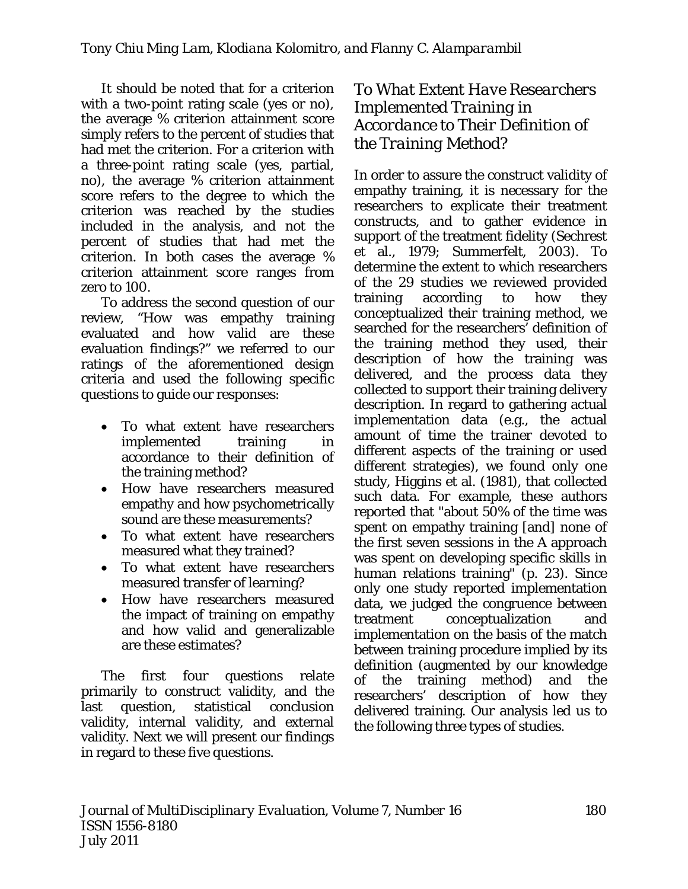It should be noted that for a criterion with a two-point rating scale (yes or no), the average % criterion attainment score simply refers to the percent of studies that had met the criterion. For a criterion with a three-point rating scale (yes, partial, no), the average % criterion attainment score refers to the degree to which the criterion was reached by the studies included in the analysis, and not the percent of studies that had met the criterion. In both cases the average % criterion attainment score ranges from zero to 100.

To address the second question of our review, "How was empathy training evaluated and how valid are these evaluation findings?" we referred to our ratings of the aforementioned design criteria and used the following specific questions to guide our responses:

- To what extent have researchers implemented training in accordance to their definition of the training method?
- How have researchers measured empathy and how psychometrically sound are these measurements?
- To what extent have researchers measured what they trained?
- To what extent have researchers measured transfer of learning?
- How have researchers measured the impact of training on empathy and how valid and generalizable are these estimates?

The first four questions relate primarily to construct validity, and the last question, statistical conclusion validity, internal validity, and external validity. Next we will present our findings in regard to these five questions.

*To What Extent Have Researchers Implemented Training in Accordance to Their Definition of the Training Method?* 

In order to assure the construct validity of empathy training, it is necessary for the researchers to explicate their treatment constructs, and to gather evidence in support of the treatment fidelity (Sechrest et al., 1979; Summerfelt, 2003). To determine the extent to which researchers of the 29 studies we reviewed provided training according to how they conceptualized their training method, we searched for the researchers' definition of the training method they used, their description of how the training was delivered, and the process data they collected to support their training delivery description. In regard to gathering actual implementation data (e.g., the actual amount of time the trainer devoted to different aspects of the training or used different strategies), we found only one study, Higgins et al. (1981), that collected such data. For example, these authors reported that "about 50% of the time was spent on empathy training [and] none of the first seven sessions in the A approach was spent on developing specific skills in human relations training" (p. 23). Since only one study reported implementation data, we judged the congruence between treatment conceptualization and implementation on the basis of the match between training procedure implied by its definition (augmented by our knowledge of the training method) and the researchers' description of how they delivered training. Our analysis led us to the following three types of studies.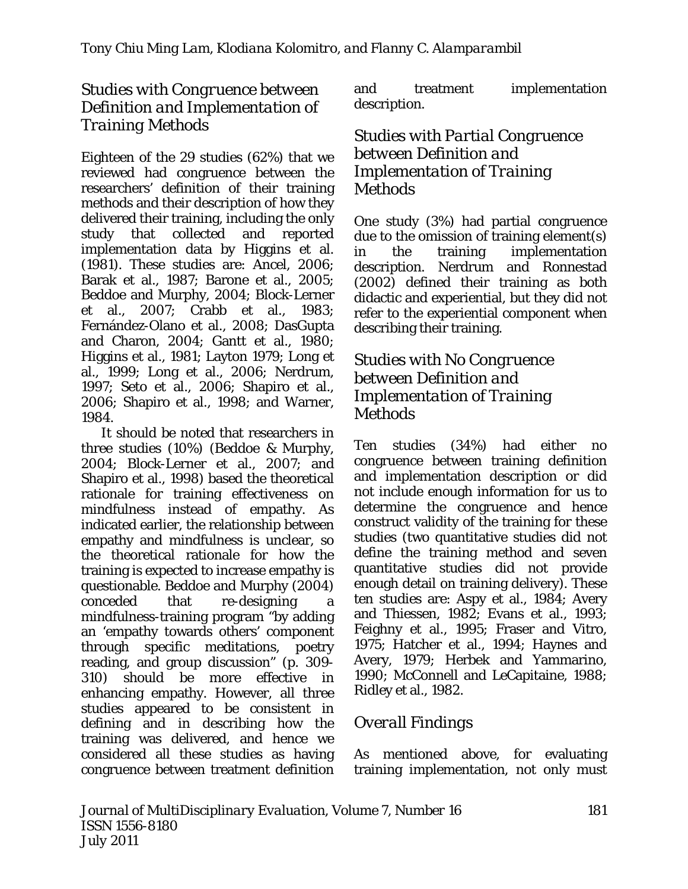#### *Studies with Congruence between Definition and Implementation of Training Methods*

Eighteen of the 29 studies (62%) that we reviewed had congruence between the researchers' definition of their training methods and their description of how they delivered their training, including the only study that collected and reported implementation data by Higgins et al. (1981). These studies are: Ancel, 2006; Barak et al., 1987; Barone et al., 2005; Beddoe and Murphy, 2004; Block-Lerner et al., 2007; Crabb et al., 1983; Fernández-Olano et al., 2008; DasGupta and Charon, 2004; Gantt et al., 1980; Higgins et al., 1981; Layton 1979; Long et al., 1999; Long et al., 2006; Nerdrum, 1997; Seto et al., 2006; Shapiro et al., 2006; Shapiro et al., 1998; and Warner, 1984.

It should be noted that researchers in three studies (10%) (Beddoe & Murphy, 2004; Block-Lerner et al., 2007; and Shapiro et al., 1998) based the theoretical rationale for training effectiveness on mindfulness instead of empathy. As indicated earlier, the relationship between empathy and mindfulness is unclear, so the theoretical rationale for how the training is expected to increase empathy is questionable. Beddoe and Murphy (2004) conceded that re-designing a mindfulness-training program "by adding an 'empathy towards others' component through specific meditations, poetry reading, and group discussion" (p. 309- 310) should be more effective in enhancing empathy. However, all three studies appeared to be consistent in defining and in describing how the training was delivered, and hence we considered all these studies as having congruence between treatment definition and treatment implementation description.

#### *Studies with Partial Congruence between Definition and Implementation of Training Methods*

One study (3%) had partial congruence due to the omission of training element(s) in the training implementation description. Nerdrum and Ronnestad (2002) defined their training as both didactic and experiential, but they did not refer to the experiential component when describing their training.

#### *Studies with No Congruence between Definition and Implementation of Training Methods*

Ten studies (34%) had either no congruence between training definition and implementation description or did not include enough information for us to determine the congruence and hence construct validity of the training for these studies (two quantitative studies did not define the training method and seven quantitative studies did not provide enough detail on training delivery). These ten studies are: Aspy et al., 1984; Avery and Thiessen, 1982; Evans et al., 1993; Feighny et al., 1995; Fraser and Vitro, 1975; Hatcher et al., 1994; Haynes and Avery, 1979; Herbek and Yammarino, 1990; McConnell and LeCapitaine, 1988; Ridley et al., 1982.

## *Overall Findings*

As mentioned above, for evaluating training implementation, not only must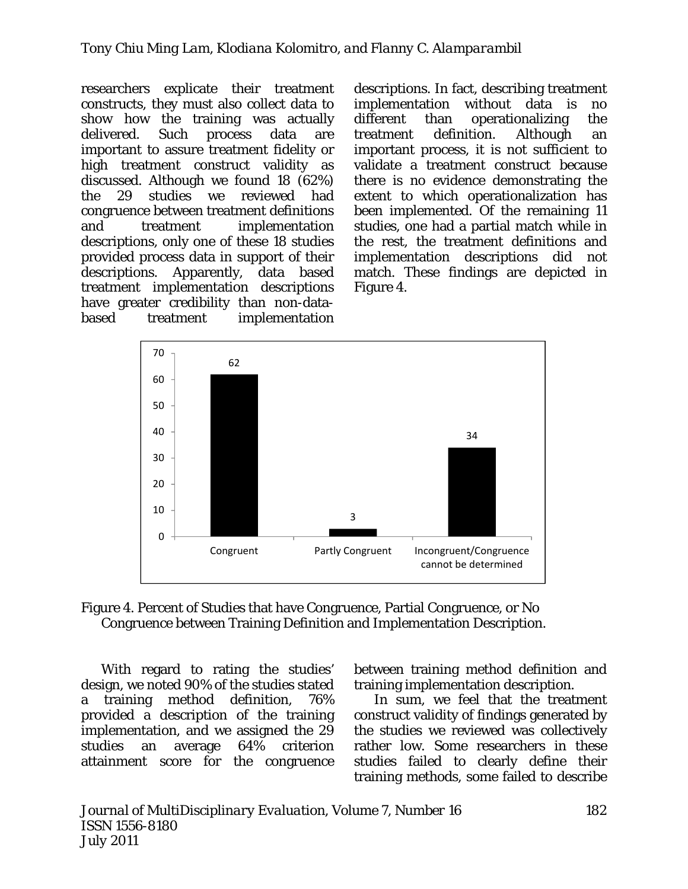researchers explicate their treatment constructs, they must also collect data to show how the training was actually delivered. Such process data are important to assure treatment fidelity or high treatment construct validity as discussed. Although we found 18 (62%) the 29 studies we reviewed had congruence between treatment definitions and treatment implementation descriptions, only one of these 18 studies provided process data in support of their descriptions. Apparently, data based treatment implementation descriptions have greater credibility than non-databased treatment implementation descriptions. In fact, describing treatment implementation without data is no different than operationalizing the treatment definition. Although an important process, it is not sufficient to validate a treatment construct because there is no evidence demonstrating the extent to which operationalization has been implemented. Of the remaining 11 studies, one had a partial match while in the rest, the treatment definitions and implementation descriptions did not match. These findings are depicted in Figure 4.





With regard to rating the studies' design, we noted 90% of the studies stated a training method definition, 76% provided a description of the training implementation, and we assigned the 29 studies an average 64% criterion attainment score for the congruence

between training method definition and training implementation description.

In sum, we feel that the treatment construct validity of findings generated by the studies we reviewed was collectively rather low. Some researchers in these studies failed to clearly define their training methods, some failed to describe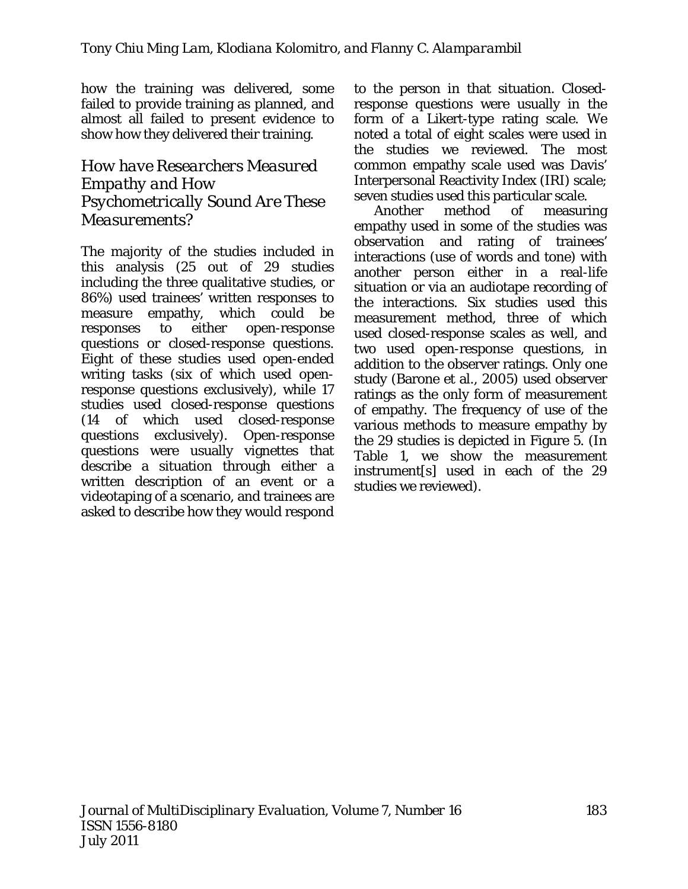how the training was delivered, some failed to provide training as planned, and almost all failed to present evidence to show how they delivered their training.

#### *How have Researchers Measured Empathy and How Psychometrically Sound Are These Measurements?*

The majority of the studies included in this analysis (25 out of 29 studies including the three qualitative studies, or 86%) used trainees' written responses to measure empathy, which could be responses to either open-response questions or closed-response questions. Eight of these studies used open-ended writing tasks (six of which used openresponse questions exclusively), while 17 studies used closed-response questions (14 of which used closed-response questions exclusively). Open-response questions were usually vignettes that describe a situation through either a written description of an event or a videotaping of a scenario, and trainees are asked to describe how they would respond to the person in that situation. Closedresponse questions were usually in the form of a Likert-type rating scale. We noted a total of eight scales were used in the studies we reviewed. The most common empathy scale used was Davis' Interpersonal Reactivity Index (IRI) scale; seven studies used this particular scale.

Another method of measuring empathy used in some of the studies was observation and rating of trainees' interactions (use of words and tone) with another person either in a real-life situation or via an audiotape recording of the interactions. Six studies used this measurement method, three of which used closed-response scales as well, and two used open-response questions, in addition to the observer ratings. Only one study (Barone et al., 2005) used observer ratings as the only form of measurement of empathy. The frequency of use of the various methods to measure empathy by the 29 studies is depicted in Figure 5. (In Table 1, we show the measurement instrument[s] used in each of the 29 studies we reviewed).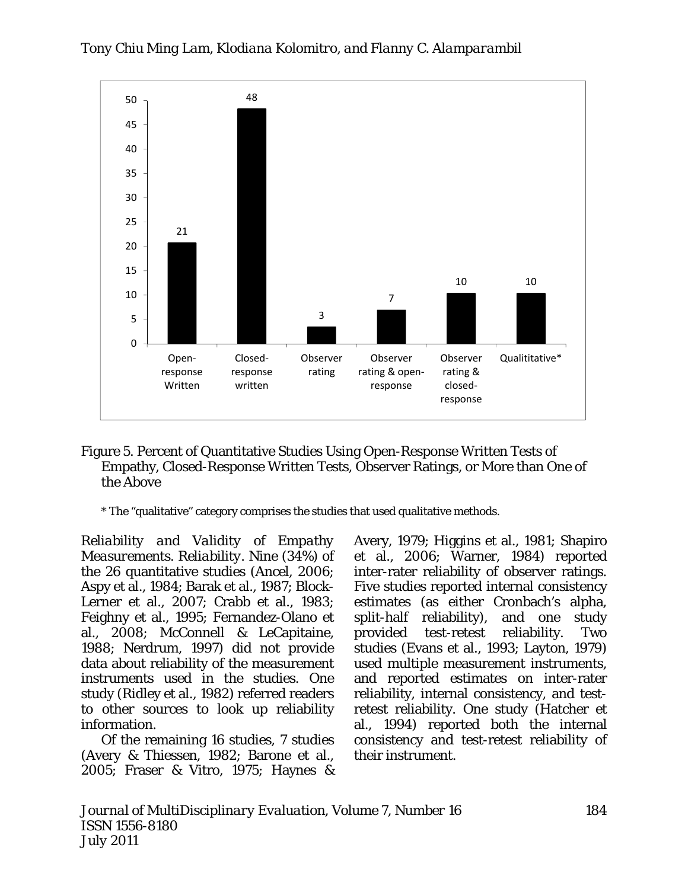

#### Figure 5. Percent of Quantitative Studies Using Open-Response Written Tests of Empathy, Closed-Response Written Tests, Observer Ratings, or More than One of the Above

*\** The "qualitative" category comprises the studies that used qualitative methods.

*Reliability and Validity of Empathy Measurements*. *Reliability.* Nine (34%) of the 26 quantitative studies (Ancel, 2006; Aspy et al., 1984; Barak et al., 1987; Block-Lerner et al., 2007; Crabb et al., 1983; Feighny et al., 1995; Fernandez-Olano et al., 2008; McConnell & LeCapitaine, 1988; Nerdrum, 1997) did not provide data about reliability of the measurement instruments used in the studies. One study (Ridley et al., 1982) referred readers to other sources to look up reliability information.

Of the remaining 16 studies, 7 studies (Avery & Thiessen, 1982; Barone et al., 2005; Fraser & Vitro, 1975; Haynes &

Avery, 1979; Higgins et al., 1981; Shapiro et al., 2006; Warner, 1984) reported inter-rater reliability of observer ratings. Five studies reported internal consistency estimates (as either Cronbach's alpha, split-half reliability), and one study provided test-retest reliability. Two studies (Evans et al., 1993; Layton, 1979) used multiple measurement instruments, and reported estimates on inter-rater reliability, internal consistency, and testretest reliability. One study (Hatcher et al., 1994) reported both the internal consistency and test-retest reliability of their instrument.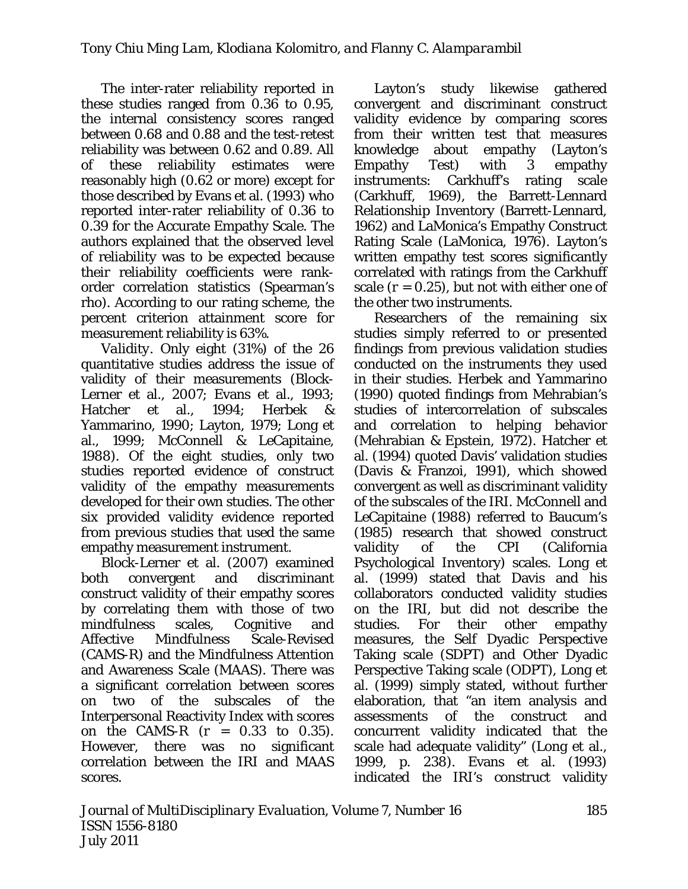The inter-rater reliability reported in these studies ranged from 0.36 to 0.95, the internal consistency scores ranged between 0.68 and 0.88 and the test-retest reliability was between 0.62 and 0.89. All of these reliability estimates were reasonably high (0.62 or more) except for those described by Evans et al. (1993) who reported inter-rater reliability of 0.36 to 0.39 for the Accurate Empathy Scale. The authors explained that the observed level of reliability was to be expected because their reliability coefficients were rankorder correlation statistics (Spearman's rho). According to our rating scheme, the percent criterion attainment score for measurement reliability is 63%.

*Validity.* Only eight (31%) of the 26 quantitative studies address the issue of validity of their measurements (Block-Lerner et al., 2007; Evans et al., 1993; Hatcher et al., 1994; Herbek & Yammarino, 1990; Layton, 1979; Long et al., 1999; McConnell & LeCapitaine, 1988). Of the eight studies, only two studies reported evidence of construct validity of the empathy measurements developed for their own studies. The other six provided validity evidence reported from previous studies that used the same empathy measurement instrument.

Block-Lerner et al. (2007) examined both convergent and discriminant construct validity of their empathy scores by correlating them with those of two mindfulness scales, Cognitive and Affective Mindfulness Scale-Revised (CAMS-R) and the Mindfulness Attention and Awareness Scale (MAAS). There was a significant correlation between scores on two of the subscales of the Interpersonal Reactivity Index with scores on the CAMS-R (*r* = 0.33 to 0.35). However, there was no significant correlation between the IRI and MAAS scores.

Layton's study likewise gathered convergent and discriminant construct validity evidence by comparing scores from their written test that measures knowledge about empathy (Layton's Empathy Test) with 3 empathy instruments: Carkhuff's rating scale (Carkhuff, 1969), the Barrett-Lennard Relationship Inventory (Barrett-Lennard, 1962) and LaMonica's Empathy Construct Rating Scale (LaMonica, 1976). Layton's written empathy test scores significantly correlated with ratings from the Carkhuff scale  $(r = 0.25)$ , but not with either one of the other two instruments.

Researchers of the remaining six studies simply referred to or presented findings from previous validation studies conducted on the instruments they used in their studies. Herbek and Yammarino (1990) quoted findings from Mehrabian's studies of intercorrelation of subscales and correlation to helping behavior (Mehrabian & Epstein, 1972). Hatcher et al. (1994) quoted Davis' validation studies (Davis & Franzoi, 1991), which showed convergent as well as discriminant validity of the subscales of the IRI. McConnell and LeCapitaine (1988) referred to Baucum's (1985) research that showed construct validity of the CPI (California Psychological Inventory) scales. Long et al. (1999) stated that Davis and his collaborators conducted validity studies on the IRI, but did not describe the studies. For their other empathy measures, the Self Dyadic Perspective Taking scale (SDPT) and Other Dyadic Perspective Taking scale (ODPT), Long et al. (1999) simply stated, without further elaboration, that "an item analysis and assessments of the construct and concurrent validity indicated that the scale had adequate validity" (Long et al., 1999, p. 238). Evans et al. (1993) indicated the IRI's construct validity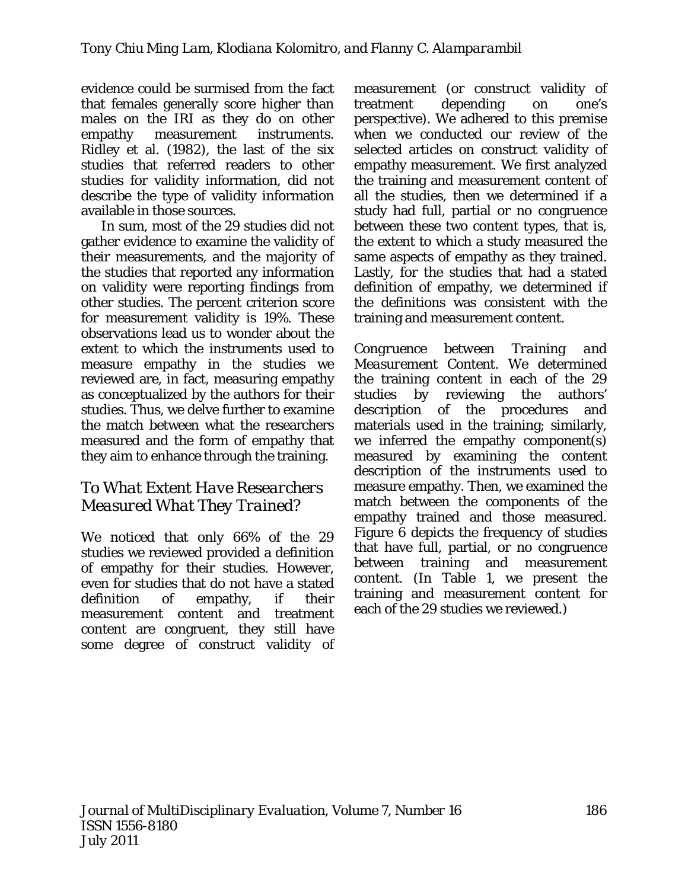evidence could be surmised from the fact that females generally score higher than males on the IRI as they do on other empathy measurement instruments. Ridley et al. (1982), the last of the six studies that referred readers to other studies for validity information, did not describe the type of validity information available in those sources.

In sum, most of the 29 studies did not gather evidence to examine the validity of their measurements, and the majority of the studies that reported any information on validity were reporting findings from other studies. The percent criterion score for measurement validity is 19%. These observations lead us to wonder about the extent to which the instruments used to measure empathy in the studies we reviewed are, in fact, measuring empathy as conceptualized by the authors for their studies. Thus, we delve further to examine the match between what the researchers measured and the form of empathy that they aim to enhance through the training.

#### *To What Extent Have Researchers Measured What They Trained?*

We noticed that only 66% of the 29 studies we reviewed provided a definition of empathy for their studies. However, even for studies that do not have a stated definition of empathy, if their measurement content and treatment content are congruent, they still have some degree of construct validity of measurement (or construct validity of treatment depending on one's perspective). We adhered to this premise when we conducted our review of the selected articles on construct validity of empathy measurement. We first analyzed the training and measurement content of all the studies, then we determined if a study had full, partial or no congruence between these two content types, that is, the extent to which a study measured the same aspects of empathy as they trained. Lastly, for the studies that had a stated definition of empathy, we determined if the definitions was consistent with the training and measurement content.

*Congruence between Training and Measurement Content*. We determined the training content in each of the 29 studies by reviewing the authors' description of the procedures and materials used in the training; similarly, we inferred the empathy component(s) measured by examining the content description of the instruments used to measure empathy. Then, we examined the match between the components of the empathy trained and those measured. Figure 6 depicts the frequency of studies that have full, partial, or no congruence between training and measurement content. (In Table 1, we present the training and measurement content for each of the 29 studies we reviewed.)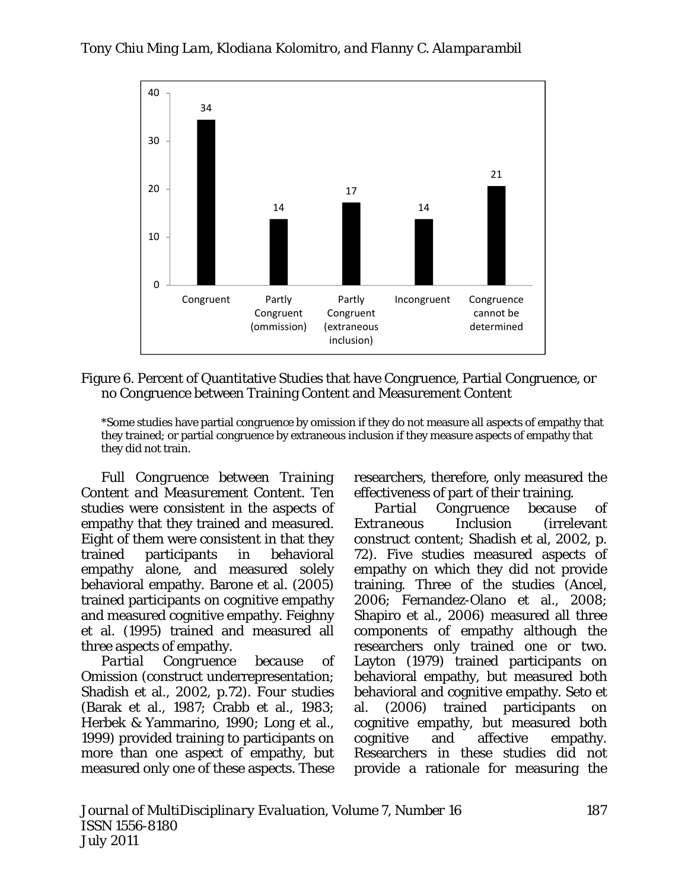

Figure 6. Percent of Quantitative Studies that have Congruence, Partial Congruence, or no Congruence between Training Content and Measurement Content

\*Some studies have partial congruence by omission if they do not measure all aspects of empathy that they trained; or partial congruence by extraneous inclusion if they measure aspects of empathy that they did not train.

*Full Congruence between Training Content and Measurement Content.* Ten studies were consistent in the aspects of empathy that they trained and measured. Eight of them were consistent in that they trained participants in behavioral empathy alone, and measured solely behavioral empathy. Barone et al. (2005) trained participants on cognitive empathy and measured cognitive empathy. Feighny et al. (1995) trained and measured all three aspects of empathy.

*Partial Congruence because of Omission* (construct underrepresentation; Shadish et al., 2002, p.72). Four studies (Barak et al., 1987; Crabb et al., 1983; Herbek & Yammarino, 1990; Long et al., 1999) provided training to participants on more than one aspect of empathy, but measured only one of these aspects. These

researchers, therefore, only measured the effectiveness of part of their training.

*Partial Congruence because of Extraneous Inclusion* (irrelevant construct content; Shadish et al, 2002, p. 72). Five studies measured aspects of empathy on which they did not provide training. Three of the studies (Ancel, 2006; Fernandez-Olano et al., 2008; Shapiro et al., 2006) measured all three components of empathy although the researchers only trained one or two. Layton (1979) trained participants on behavioral empathy, but measured both behavioral and cognitive empathy. Seto et al. (2006) trained participants on cognitive empathy, but measured both cognitive and affective empathy. Researchers in these studies did not provide a rationale for measuring the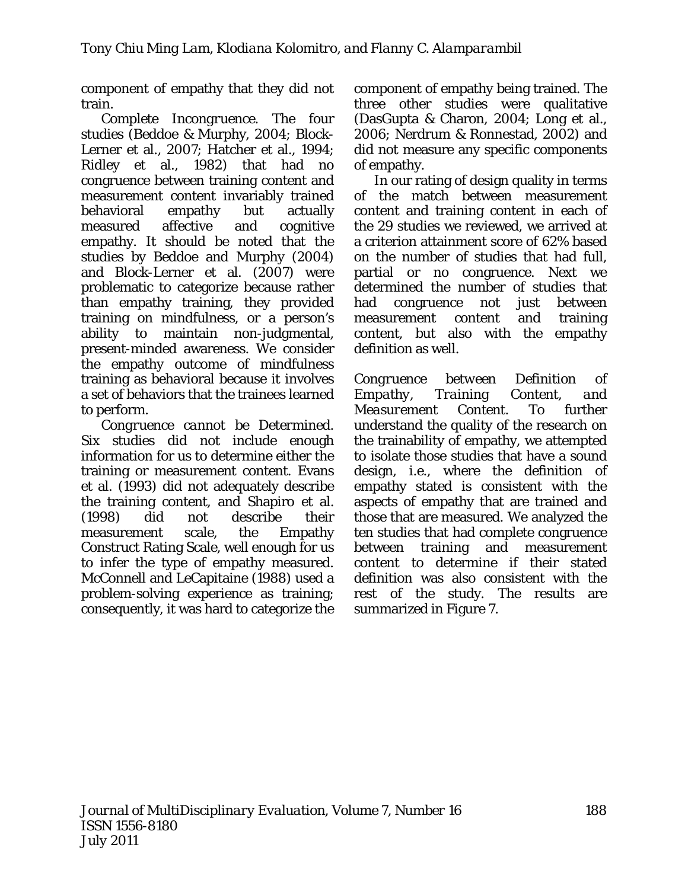component of empathy that they did not train.

*Complete Incongruence.* The four studies (Beddoe & Murphy, 2004; Block-Lerner et al., 2007; Hatcher et al., 1994; Ridley et al., 1982) that had no congruence between training content and measurement content invariably trained behavioral empathy but actually measured affective and cognitive empathy. It should be noted that the studies by Beddoe and Murphy (2004) and Block-Lerner et al. (2007) were problematic to categorize because rather than empathy training, they provided training on *mindfulness,* or a person's ability to maintain non-judgmental, present-minded awareness. We consider the empathy outcome of mindfulness training as behavioral because it involves a set of behaviors that the trainees learned to perform.

*Congruence cannot be Determined.*  Six studies did not include enough information for us to determine either the training or measurement content. Evans et al. (1993) did not adequately describe the training content, and Shapiro et al. (1998) did not describe their measurement scale, the Empathy Construct Rating Scale, well enough for us to infer the type of empathy measured. McConnell and LeCapitaine (1988) used a problem-solving experience as training; consequently, it was hard to categorize the component of empathy being trained. The three other studies were qualitative (DasGupta & Charon, 2004; Long et al., 2006; Nerdrum & Ronnestad, 2002) and did not measure any specific components of empathy.

In our rating of design quality in terms of the match between measurement content and training content in each of the 29 studies we reviewed, we arrived at a criterion attainment score of 62% based on the number of studies that had full, partial or no congruence. Next we determined the number of studies that had congruence not just between measurement content and training content, but also with the empathy definition as well.

*Congruence between Definition of Empathy, Training Content, and Measurement Content*. To further understand the quality of the research on the trainability of empathy, we attempted to isolate those studies that have a sound design, i.e., where the definition of empathy stated is consistent with the aspects of empathy that are trained and those that are measured. We analyzed the ten studies that had complete congruence between training and measurement content to determine if their stated definition was also consistent with the rest of the study. The results are summarized in Figure 7.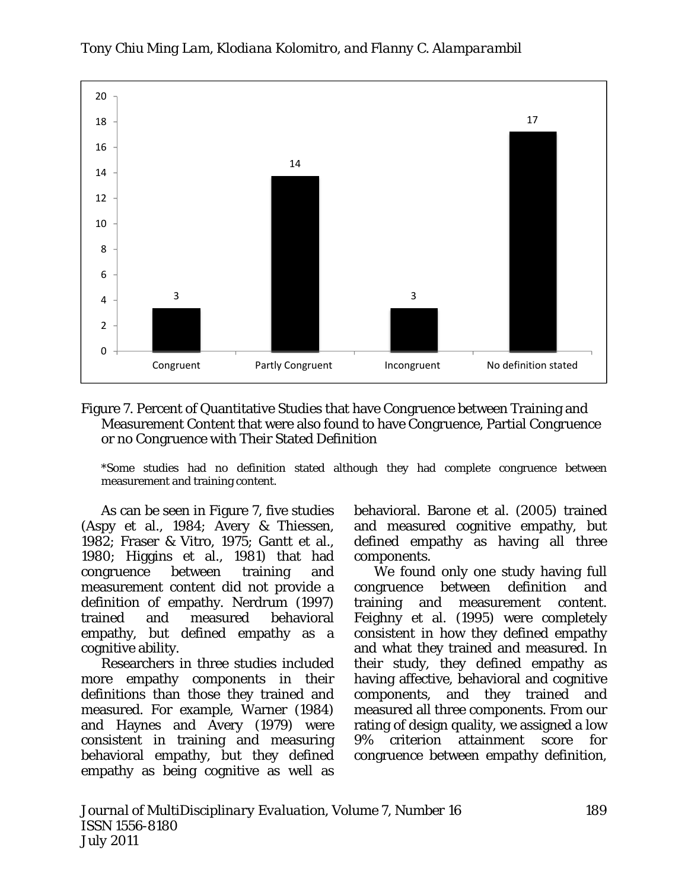

#### *Tony Chiu Ming Lam, Klodiana Kolomitro, and Flanny C. Alamparambil*

Figure 7. Percent of Quantitative Studies that have Congruence between Training and Measurement Content that were also found to have Congruence, Partial Congruence or no Congruence with Their Stated Definition

\*Some studies had no definition stated although they had complete congruence between measurement and training content.

As can be seen in Figure 7, five studies (Aspy et al., 1984; Avery & Thiessen, 1982; Fraser & Vitro, 1975; Gantt et al., 1980; Higgins et al., 1981) that had congruence between training and measurement content did not provide a definition of empathy. Nerdrum (1997) trained and measured behavioral empathy, but defined empathy as a cognitive ability.

Researchers in three studies included more empathy components in their definitions than those they trained and measured. For example, Warner (1984) and Haynes and Avery (1979) were consistent in training and measuring behavioral empathy, but they defined empathy as being cognitive as well as

behavioral. Barone et al. (2005) trained and measured cognitive empathy, but defined empathy as having all three components.

We found only one study having full congruence between definition and training and measurement content. Feighny et al. (1995) were completely consistent in how they defined empathy and what they trained and measured. In their study, they defined empathy as having affective, behavioral and cognitive components, and they trained and measured all three components. From our rating of design quality, we assigned a low 9% criterion attainment score for congruence between empathy definition,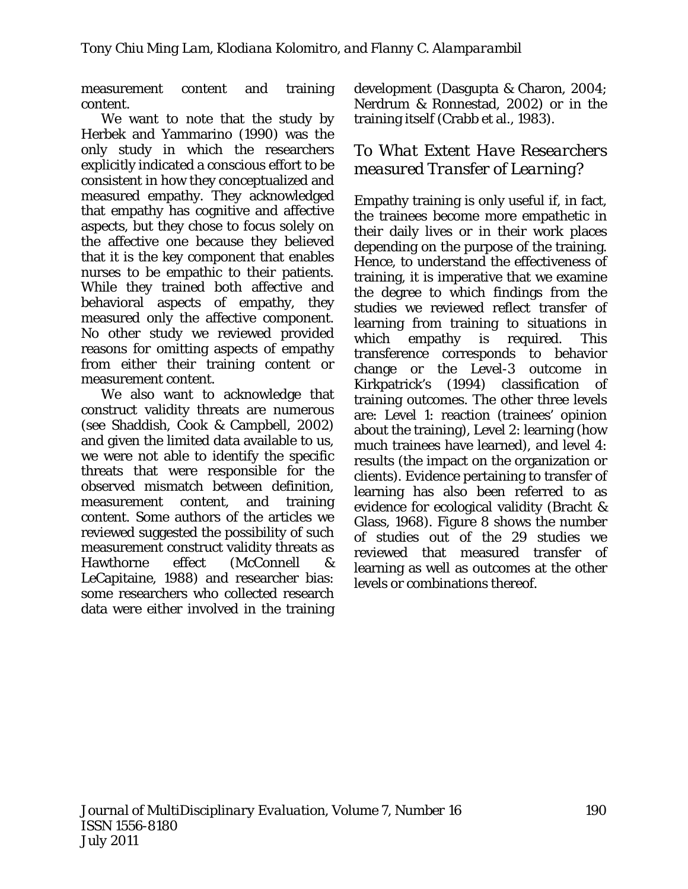measurement content and training content.

We want to note that the study by Herbek and Yammarino (1990) was the only study in which the researchers explicitly indicated a conscious effort to be consistent in how they conceptualized and measured empathy. They acknowledged that empathy has cognitive and affective aspects, but they chose to focus solely on the affective one because they believed that it is the key component that enables nurses to be empathic to their patients. While they trained both affective and behavioral aspects of empathy, they measured only the affective component. No other study we reviewed provided reasons for omitting aspects of empathy from either their training content or measurement content.

We also want to acknowledge that construct validity threats are numerous (see Shaddish, Cook & Campbell, 2002) and given the limited data available to us, we were not able to identify the specific threats that were responsible for the observed mismatch between definition, measurement content, and training content. Some authors of the articles we reviewed suggested the possibility of such measurement construct validity threats as Hawthorne effect (McConnell & LeCapitaine, 1988) and researcher bias: some researchers who collected research data were either involved in the training development (Dasgupta & Charon, 2004; Nerdrum & Ronnestad, 2002) or in the training itself (Crabb et al., 1983).

### *To What Extent Have Researchers measured Transfer of Learning?*

Empathy training is only useful if, in fact, the trainees become more empathetic in their daily lives or in their work places depending on the purpose of the training. Hence, to understand the effectiveness of training, it is imperative that we examine the degree to which findings from the studies we reviewed reflect transfer of learning from training to situations in which empathy is required. This transference corresponds to behavior change or the Level-3 outcome in Kirkpatrick's (1994) classification of training outcomes. The other three levels are: Level 1: reaction (trainees' opinion about the training), Level 2: learning (how much trainees have learned), and level 4: results (the impact on the organization or clients). Evidence pertaining to transfer of learning has also been referred to as evidence for ecological validity (Bracht & Glass, 1968). Figure 8 shows the number of studies out of the 29 studies we reviewed that measured transfer of learning as well as outcomes at the other levels or combinations thereof.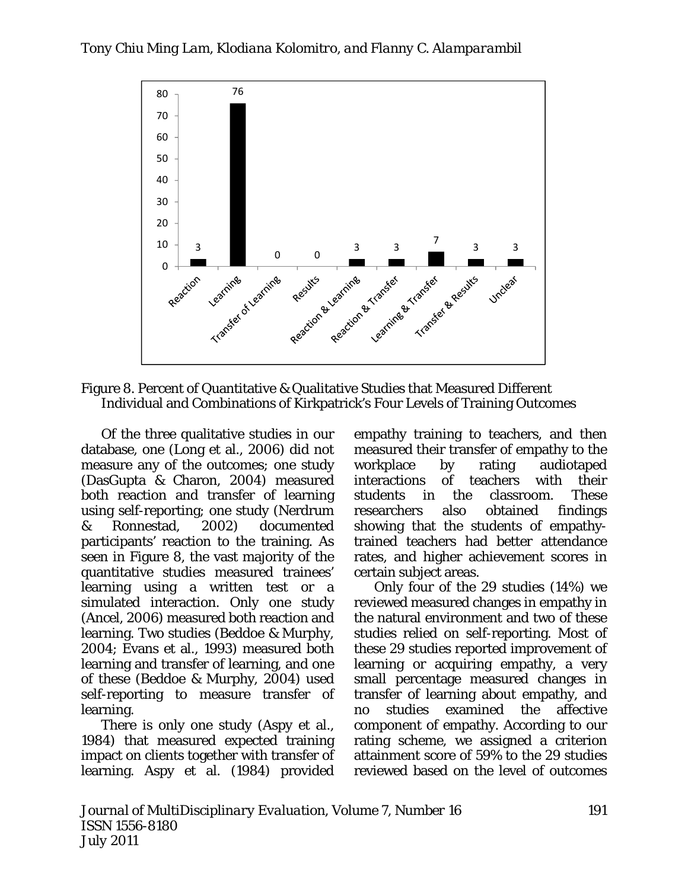

Figure 8. Percent of Quantitative & Qualitative Studies that Measured Different Individual and Combinations of Kirkpatrick's Four Levels of Training Outcomes

Of the three qualitative studies in our database, one (Long et al., 2006) did not measure any of the outcomes; one study (DasGupta & Charon, 2004) measured both reaction and transfer of learning using self-reporting; one study (Nerdrum & Ronnestad, 2002) documented participants' reaction to the training. As seen in Figure 8, the vast majority of the quantitative studies measured trainees' learning using a written test or a simulated interaction. Only one study (Ancel, 2006) measured both reaction and learning. Two studies (Beddoe & Murphy, 2004; Evans et al., 1993) measured both learning and transfer of learning, and one of these (Beddoe & Murphy, 2004) used self-reporting to measure transfer of learning.

There is only one study (Aspy et al., 1984) that measured expected training impact on clients together with transfer of learning. Aspy et al. (1984) provided

empathy training to teachers, and then measured their transfer of empathy to the workplace by rating audiotaped interactions of teachers with their students in the classroom. These researchers also obtained findings showing that the students of empathytrained teachers had better attendance rates, and higher achievement scores in certain subject areas.

Only four of the 29 studies (14%) we reviewed measured changes in empathy in the natural environment and two of these studies relied on self-reporting. Most of these 29 studies reported improvement of learning or acquiring empathy, a very small percentage measured changes in transfer of learning about empathy, and no studies examined the affective component of empathy. According to our rating scheme, we assigned a criterion attainment score of 59% to the 29 studies reviewed based on the level of outcomes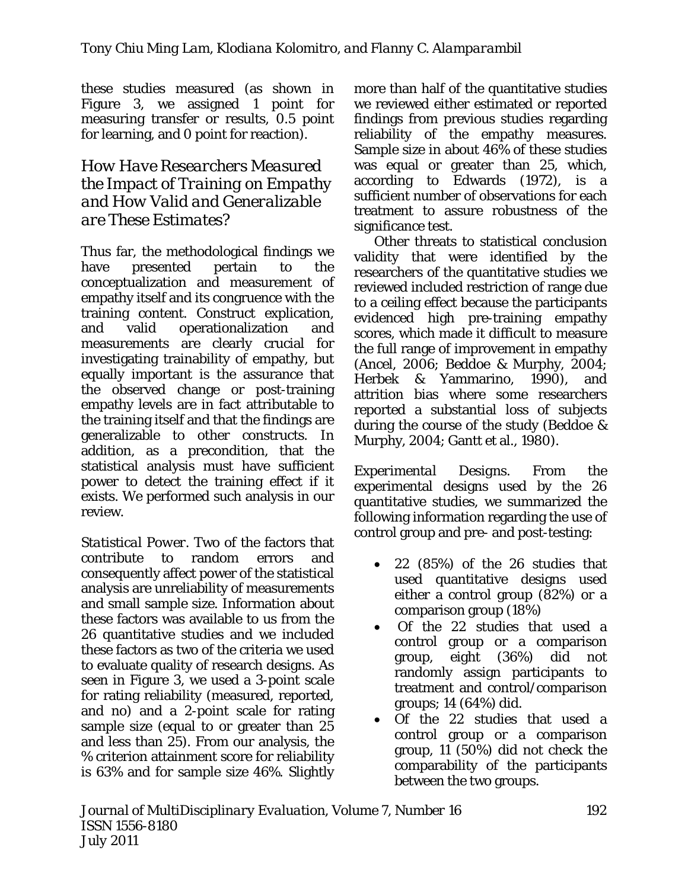these studies measured (as shown in Figure 3, we assigned 1 point for measuring transfer or results, 0.5 point for learning, and 0 point for reaction).

### *How Have Researchers Measured the Impact of Training on Empathy and How Valid and Generalizable are These Estimates?*

Thus far, the methodological findings we have presented pertain to the conceptualization and measurement of empathy itself and its congruence with the training content. Construct explication, and valid operationalization and measurements are clearly crucial for investigating trainability of empathy, but equally important is the assurance that the observed change or post-training empathy levels are in fact attributable to the training itself and that the findings are generalizable to other constructs. In addition, as a precondition, that the statistical analysis must have sufficient power to detect the training effect if it exists. We performed such analysis in our review.

*Statistical Power*. Two of the factors that contribute to random errors and consequently affect power of the statistical analysis are unreliability of measurements and small sample size. Information about these factors was available to us from the 26 quantitative studies and we included these factors as two of the criteria we used to evaluate quality of research designs. As seen in Figure 3, we used a 3-point scale for rating reliability (measured, reported, and no) and a 2-point scale for rating sample size (equal to or greater than 25 and less than 25). From our analysis, the % criterion attainment score for reliability is 63% and for sample size 46%. Slightly more than half of the quantitative studies we reviewed either estimated or reported findings from previous studies regarding reliability of the empathy measures. Sample size in about 46% of these studies was equal or greater than 25, which, according to Edwards (1972), is a sufficient number of observations for each treatment to assure robustness of the significance test.

Other threats to statistical conclusion validity that were identified by the researchers of the quantitative studies we reviewed included restriction of range due to a ceiling effect because the participants evidenced high pre-training empathy scores, which made it difficult to measure the full range of improvement in empathy (Ancel, 2006; Beddoe & Murphy, 2004; Herbek & Yammarino, 1990), and attrition bias where some researchers reported a substantial loss of subjects during the course of the study (Beddoe & Murphy, 2004; Gantt et al., 1980).

*Experimental Designs*. From the experimental designs used by the 26 quantitative studies, we summarized the following information regarding the use of control group and pre- and post-testing:

- 22 (85%) of the 26 studies that used quantitative designs used either a control group (82%) or a comparison group (18%)
- Of the 22 studies that used a control group or a comparison group, eight (36%) did not randomly assign participants to treatment and control/comparison groups; 14 (64%) did.
- Of the 22 studies that used a control group or a comparison group, 11 (50%) did not check the comparability of the participants between the two groups.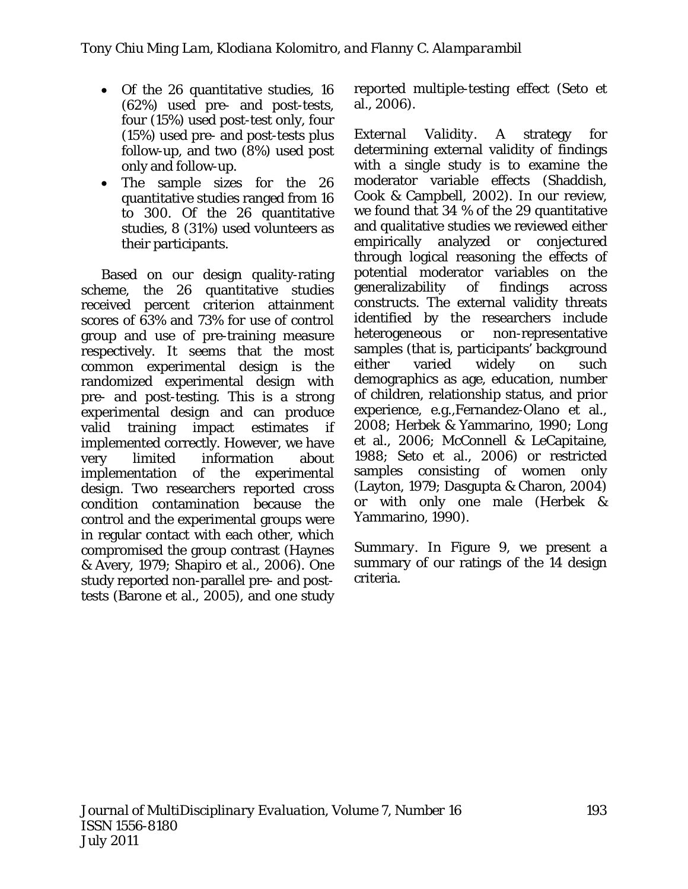- Of the 26 quantitative studies, 16 (62%) used pre- and post-tests, four (15%) used post-test only, four (15%) used pre- and post-tests plus follow-up, and two (8%) used post only and follow-up.
- The sample sizes for the 26 quantitative studies ranged from 16 to 300. Of the 26 quantitative studies, 8 (31%) used volunteers as their participants.

Based on our design quality-rating scheme, the 26 quantitative studies received percent criterion attainment scores of 63% and 73% for use of control group and use of pre-training measure respectively. It seems that the most common experimental design is the randomized experimental design with pre- and post-testing. This is a strong experimental design and can produce valid training impact estimates if implemented correctly. However, we have very limited information about implementation of the experimental design. Two researchers reported cross condition contamination because the control and the experimental groups were in regular contact with each other, which compromised the group contrast (Haynes & Avery, 1979; Shapiro et al., 2006). One study reported non-parallel pre- and posttests (Barone et al., 2005), and one study reported multiple-testing effect (Seto et al., 2006).

*External Validity*. A strategy for determining external validity of findings with a single study is to examine the moderator variable effects (Shaddish, Cook & Campbell, 2002). In our review, we found that 34 % of the 29 quantitative and qualitative studies we reviewed either empirically analyzed or conjectured through logical reasoning the effects of potential moderator variables on the generalizability of findings across constructs. The external validity threats identified by the researchers include heterogeneous or non-representative samples (that is, participants' background either varied widely on such demographics as age, education, number of children, relationship status, and prior experience, e.g.,Fernandez-Olano et al., 2008; Herbek & Yammarino, 1990; Long et al., 2006; McConnell & LeCapitaine, 1988; Seto et al., 2006) or restricted samples consisting of women only (Layton, 1979; Dasgupta & Charon, 2004) or with only one male (Herbek & Yammarino, 1990).

*Summary*. In Figure 9, we present a summary of our ratings of the 14 design criteria.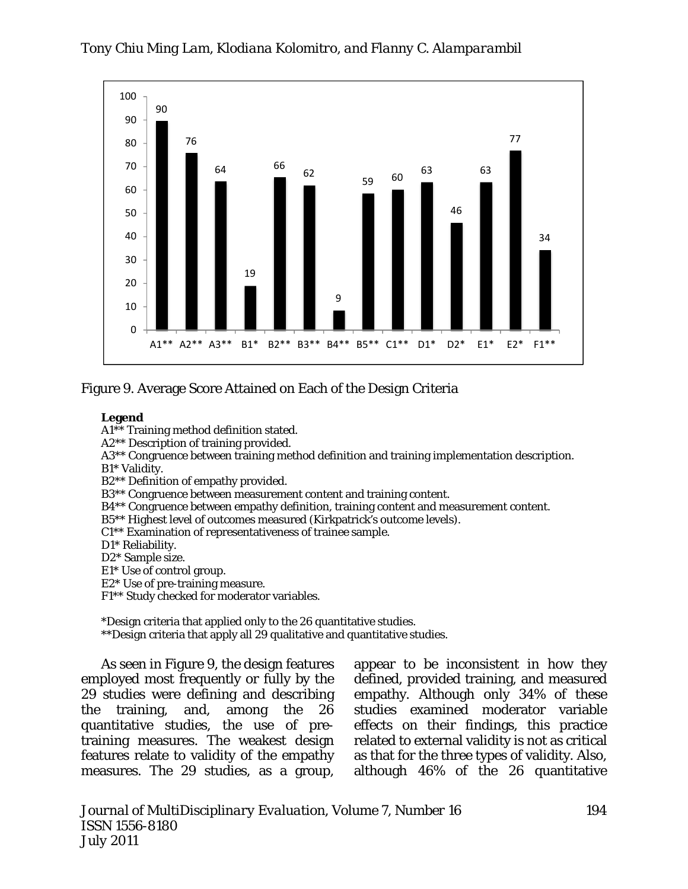



#### Figure 9. Average Score Attained on Each of the Design Criteria

#### **Legend**

A1\*\* Training method definition stated.

A2\*\* Description of training provided.

A3\*\* Congruence between training method definition and training implementation description.

B1\* Validity.

B2\*\* Definition of empathy provided.

B3\*\* Congruence between measurement content and training content.

B4\*\* Congruence between empathy definition, training content and measurement content.

B5\*\* Highest level of outcomes measured (Kirkpatrick's outcome levels).

C1\*\* Examination of representativeness of trainee sample.

D1\* Reliability.

D2\* Sample size.

E1\* Use of control group.

E2\* Use of pre-training measure.

F1\*\* Study checked for moderator variables.

\*Design criteria that applied only to the 26 quantitative studies.

\*\*Design criteria that apply all 29 qualitative and quantitative studies.

As seen in Figure 9, the design features employed most frequently or fully by the 29 studies were defining and describing the training, and, among the 26 quantitative studies, the use of pretraining measures. The weakest design features relate to validity of the empathy measures. The 29 studies, as a group,

appear to be inconsistent in how they defined, provided training, and measured empathy. Although only 34% of these studies examined moderator variable effects on their findings, this practice related to external validity is not as critical as that for the three types of validity. Also, although 46% of the 26 quantitative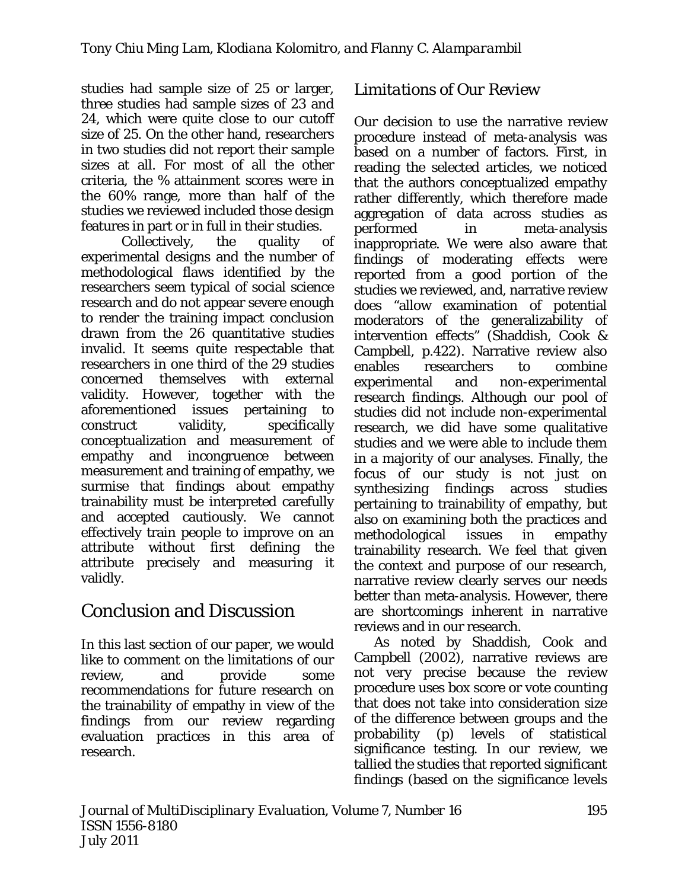studies had sample size of 25 or larger, three studies had sample sizes of 23 and 24, which were quite close to our cutoff size of 25. On the other hand, researchers in two studies did not report their sample sizes at all. For most of all the other criteria, the % attainment scores were in the 60% range, more than half of the studies we reviewed included those design features in part or in full in their studies.

Collectively, the quality of experimental designs and the number of methodological flaws identified by the researchers seem typical of social science research and do not appear severe enough to render the training impact conclusion drawn from the 26 quantitative studies invalid. It seems quite respectable that researchers in one third of the 29 studies concerned themselves with external validity. However, together with the aforementioned issues pertaining to construct validity, specifically conceptualization and measurement of empathy and incongruence between measurement and training of empathy, we surmise that findings about empathy trainability must be interpreted carefully and accepted cautiously. We cannot effectively train people to improve on an attribute without first defining the attribute precisely and measuring it validly.

# Conclusion and Discussion

In this last section of our paper, we would like to comment on the limitations of our review. and provide some recommendations for future research on the trainability of empathy in view of the findings from our review regarding evaluation practices in this area of research.

# *Limitations of Our Review*

Our decision to use the narrative review procedure instead of meta-analysis was based on a number of factors. First, in reading the selected articles, we noticed that the authors conceptualized empathy rather differently, which therefore made aggregation of data across studies as performed in meta-analysis inappropriate. We were also aware that findings of moderating effects were reported from a good portion of the studies we reviewed, and, narrative review does "allow examination of potential moderators of the generalizability of intervention effects" (Shaddish, Cook & Campbell, p.422). Narrative review also enables researchers to combine experimental and non-experimental research findings. Although our pool of studies did not include non-experimental research, we did have some qualitative studies and we were able to include them in a majority of our analyses. Finally, the focus of our study is not just on synthesizing findings across studies pertaining to trainability of empathy, but also on examining both the practices and methodological issues in empathy trainability research. We feel that given the context and purpose of our research, narrative review clearly serves our needs better than meta-analysis. However, there are shortcomings inherent in narrative reviews and in our research.

As noted by Shaddish, Cook and Campbell (2002), narrative reviews are not very precise because the review procedure uses box score or vote counting that does not take into consideration size of the difference between groups and the probability (p) levels of statistical significance testing. In our review, we tallied the studies that reported significant findings (based on the significance levels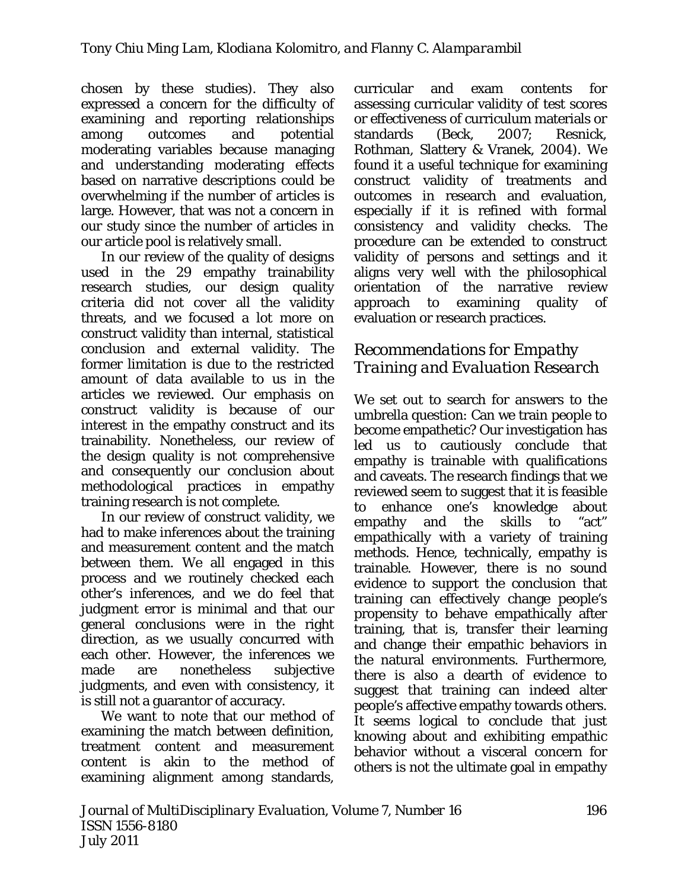chosen by these studies). They also expressed a concern for the difficulty of examining and reporting relationships among outcomes and potential moderating variables because managing and understanding moderating effects based on narrative descriptions could be overwhelming if the number of articles is large. However, that was not a concern in our study since the number of articles in our article pool is relatively small.

In our review of the quality of designs used in the 29 empathy trainability research studies, our design quality criteria did not cover all the validity threats, and we focused a lot more on construct validity than internal, statistical conclusion and external validity. The former limitation is due to the restricted amount of data available to us in the articles we reviewed. Our emphasis on construct validity is because of our interest in the empathy construct and its trainability. Nonetheless, our review of the design quality is not comprehensive and consequently our conclusion about methodological practices in empathy training research is not complete.

In our review of construct validity, we had to make inferences about the training and measurement content and the match between them. We all engaged in this process and we routinely checked each other's inferences, and we do feel that judgment error is minimal and that our general conclusions were in the right direction, as we usually concurred with each other. However, the inferences we made are nonetheless subjective judgments, and even with consistency, it is still not a guarantor of accuracy.

We want to note that our method of examining the match between definition, treatment content and measurement content is akin to the method of examining alignment among standards,

curricular and exam contents for assessing curricular validity of test scores or effectiveness of curriculum materials or standards (Beck, 2007; Resnick, Rothman, Slattery & Vranek, 2004). We found it a useful technique for examining construct validity of treatments and outcomes in research and evaluation, especially if it is refined with formal consistency and validity checks. The procedure can be extended to construct validity of persons and settings and it aligns very well with the philosophical orientation of the narrative review approach to examining quality of evaluation or research practices.

## *Recommendations for Empathy Training and Evaluation Research*

We set out to search for answers to the umbrella question: Can we train people to become empathetic? Our investigation has led us to cautiously conclude that empathy is trainable with qualifications and caveats. The research findings that we reviewed seem to suggest that it is feasible to enhance one's knowledge about empathy and the skills to "act" empathically with a variety of training methods. Hence, technically, empathy is trainable. However, there is no sound evidence to support the conclusion that training can effectively change people's propensity to behave empathically after training, that is, transfer their learning and change their empathic behaviors in the natural environments. Furthermore, there is also a dearth of evidence to suggest that training can indeed alter people's affective empathy towards others. It seems logical to conclude that just knowing about and exhibiting empathic behavior without a visceral concern for others is not the ultimate goal in empathy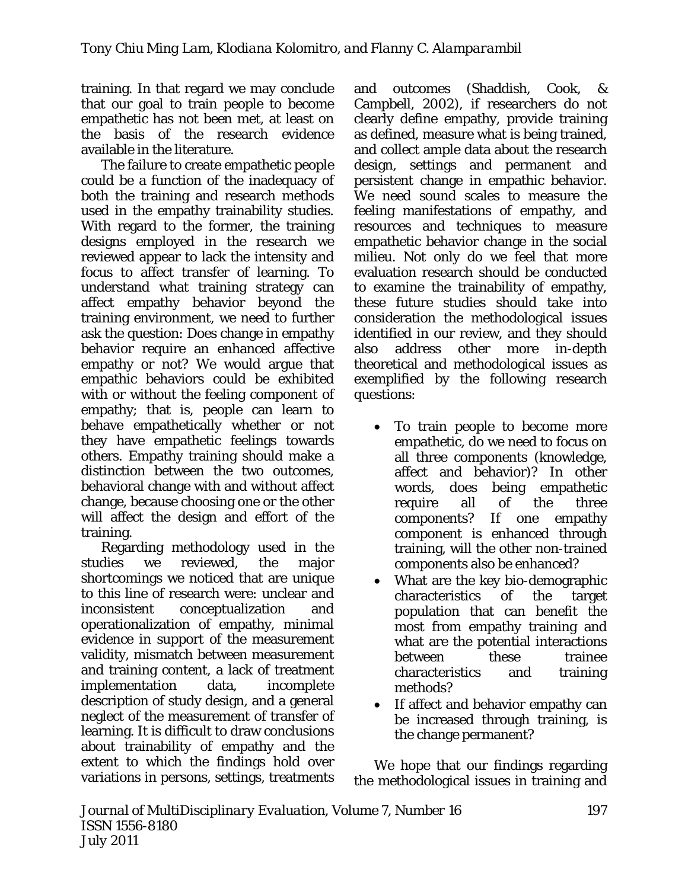training. In that regard we may conclude that our goal to train people to become empathetic has not been met, at least on the basis of the research evidence available in the literature.

The failure to create empathetic people could be a function of the inadequacy of both the training and research methods used in the empathy trainability studies. With regard to the former, the training designs employed in the research we reviewed appear to lack the intensity and focus to affect transfer of learning. To understand what training strategy can affect empathy behavior beyond the training environment, we need to further ask the question: Does change in empathy behavior require an enhanced affective empathy or not? We would argue that empathic behaviors could be exhibited with or without the feeling component of empathy; that is, people can learn to behave empathetically whether or not they have empathetic feelings towards others. Empathy training should make a distinction between the two outcomes, behavioral change with and without affect change, because choosing one or the other will affect the design and effort of the training.

Regarding methodology used in the studies we reviewed, the major shortcomings we noticed that are unique to this line of research were: unclear and inconsistent conceptualization and operationalization of empathy, minimal evidence in support of the measurement validity, mismatch between measurement and training content, a lack of treatment implementation data, incomplete description of study design, and a general neglect of the measurement of transfer of learning. It is difficult to draw conclusions about trainability of empathy and the extent to which the findings hold over variations in persons, settings, treatments

and outcomes (Shaddish, Cook, & Campbell, 2002), if researchers do not clearly define empathy, provide training as defined, measure what is being trained, and collect ample data about the research design, settings and permanent and persistent change in empathic behavior. We need sound scales to measure the feeling manifestations of empathy, and resources and techniques to measure empathetic behavior change in the social milieu. Not only do we feel that more evaluation research should be conducted to examine the trainability of empathy, these future studies should take into consideration the methodological issues identified in our review, and they should also address other more in-depth theoretical and methodological issues as exemplified by the following research questions:

- To train people to become more empathetic, do we need to focus on all three components (knowledge, affect and behavior)? In other words, does being empathetic require all of the three components? If one empathy component is enhanced through training, will the other non-trained components also be enhanced?
- What are the key bio-demographic characteristics of the target population that can benefit the most from empathy training and what are the potential interactions between these trainee characteristics and training methods?
- If affect and behavior empathy can be increased through training, is the change permanent?

We hope that our findings regarding the methodological issues in training and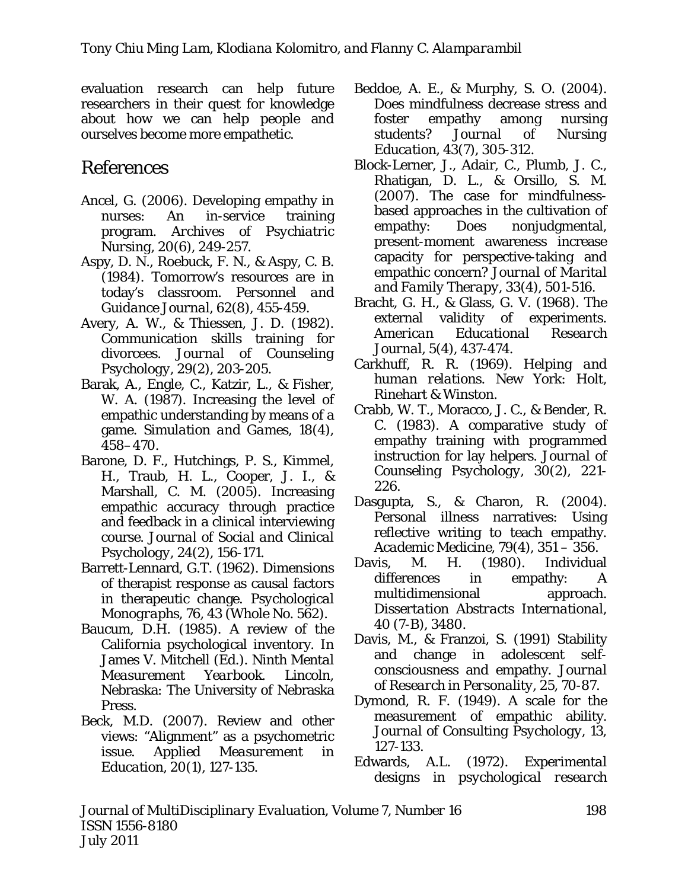evaluation research can help future researchers in their quest for knowledge about how we can help people and ourselves become more empathetic.

# References

- Ancel, G. (2006). Developing empathy in nurses: An in-service training program. *Archives of Psychiatric Nursing, 20*(6), 249-257.
- Aspy, D. N., Roebuck, F. N., & Aspy, C. B. (1984). Tomorrow's resources are in today's classroom. *Personnel and Guidance Journal, 62*(8), 455-459.
- Avery, A. W., & Thiessen, J. D. (1982). Communication skills training for divorcees. *Journal of Counseling Psychology, 29(*2), 203-205.
- Barak, A., Engle, C., Katzir, L., & Fisher, W. A. (1987). Increasing the level of empathic understanding by means of a game. *Simulation and Games, 18*(4)*,*  458–470.
- Barone, D. F., Hutchings, P. S., Kimmel, H., Traub, H. L., Cooper, J. I., & Marshall, C. M. (2005). Increasing empathic accuracy through practice and feedback in a clinical interviewing course. *Journal of Social and Clinical Psychology, 24*(2), 156-171.
- Barrett-Lennard, G.T. (1962). Dimensions of therapist response as causal factors in therapeutic change. *Psychological Monographs, 76*, 43 (Whole No. 562).
- Baucum, D.H. (1985). A review of the California psychological inventory. In James V. Mitchell (Ed.). *Ninth Mental Measurement Yearbook.* Lincoln, Nebraska: The University of Nebraska Press.
- Beck, M.D. (2007). Review and other views: "Alignment" as a psychometric issue. *Applied Measurement in Education, 20*(1), 127-135.
- Beddoe, A. E., & Murphy, S. O. (2004). Does mindfulness decrease stress and foster empathy among nursing students? *Journal of Nursing Education, 43*(7), 305-312.
- Block-Lerner, J., Adair, C., Plumb, J. C., Rhatigan, D. L., & Orsillo, S. M. (2007). The case for mindfulnessbased approaches in the cultivation of empathy: Does nonjudgmental, present-moment awareness increase capacity for perspective-taking and empathic concern? *Journal of Marital and Family Therapy, 33*(4), 501-516.
- Bracht, G. H., & Glass, G. V. (1968). The external validity of experiments. *American Educational Research Journal, 5*(4), 437-474.
- Carkhuff, R. R. (1969). *Helping and human relations*. New York: Holt, Rinehart & Winston.
- Crabb, W. T., Moracco, J. C., & Bender, R. C. (1983). A comparative study of empathy training with programmed instruction for lay helpers. *Journal of Counseling Psychology, 30*(2), 221- 226.
- Dasgupta, S., & Charon, R. (2004). Personal illness narratives: Using reflective writing to teach empathy. *Academic Medicine, 79*(4), 351 – 356.
- Davis, M. H. (1980). Individual differences in empathy: A multidimensional approach. *Dissertation Abstracts International, 40* (7-B), 3480.
- Davis, M., & Franzoi, S. (1991) Stability and change in adolescent selfconsciousness and empathy. *Journal of Research in Personality, 25*, 70-87.
- Dymond, R. F. (1949). A scale for the measurement of empathic ability. *Journal of Consulting Psychology, 13*, 127-133.
- Edwards, A.L. (1972). *Experimental designs in psychological research*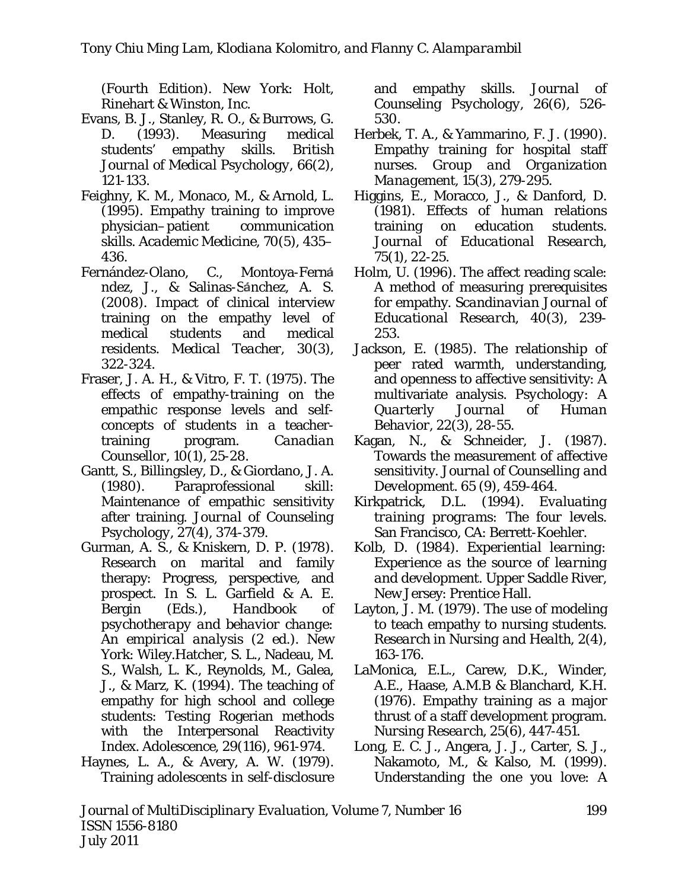*(Fourth Edition).* New York: Holt, Rinehart & Winston, Inc.

- Evans, B. J., Stanley, R. O., & Burrows, G. D. (1993). Measuring medical students' empathy skills. *British Journal of Medical Psychology, 66*(2), 121-133.
- Feighny, K. M., Monaco, M., & Arnold, L. (1995). Empathy training to improve physician–patient communication skills. *Academic Medicine, 70*(5), 435– 436.
- Fernández-Olano, C., Montoya-Fern ndez, J., & Salinas-Sánchez, A. S. (2008). Impact of clinical interview training on the empathy level of medical students and medical residents. *Medical Teacher, 30*(3), 322-324.
- Fraser, J. A. H., & Vitro, F. T. (1975). The effects of empathy-training on the empathic response levels and selfconcepts of students in a teachertraining program. *Canadian Counsellor, 10*(1), 25-28.
- Gantt, S., Billingsley, D., & Giordano, J. A. (1980). Paraprofessional skill: Maintenance of empathic sensitivity after training. *Journal of Counseling Psychology, 27*(4), 374-379.
- Gurman, A. S., & Kniskern, D. P. (1978). Research on marital and family therapy: Progress, perspective, and prospect. In S. L. Garfield & A. E. Bergin (Eds.), *Handbook of psychotherapy and behavior change: An empirical analysis* (2 ed.). New York: Wiley.Hatcher, S. L., Nadeau, M. S., Walsh, L. K., Reynolds, M., Galea, J., & Marz, K. (1994). The teaching of empathy for high school and college students: Testing Rogerian methods with the Interpersonal Reactivity Index. *Adolescence, 29*(116), 961-974.
- Haynes, L. A., & Avery, A. W. (1979). Training adolescents in self-disclosure

and empathy skills. *Journal of Counseling Psychology, 26*(6), 526- 530.

- Herbek, T. A., & Yammarino, F. J. (1990). Empathy training for hospital staff nurses. *Group and Organization Management, 15*(3), 279-295.
- Higgins, E., Moracco, J., & Danford, D. (1981). Effects of human relations training on education students. *Journal of Educational Research, 75*(1), 22-25.
- Holm, U. (1996). The affect reading scale: A method of measuring prerequisites for empathy. *Scandinavian Journal of Educational Research, 40*(3), 239- 253.
- Jackson, E. (1985). The relationship of peer rated warmth, understanding, and openness to affective sensitivity: A multivariate analysis. *Psychology: A Quarterly Journal of Human Behavior,* 22(3), 28-55.
- Kagan, N., & Schneider, J. (1987). Towards the measurement of affective sensitivity. *Journal of Counselling and Development.* 65 (9), 459-464.
- Kirkpatrick, D.L. (1994). *Evaluating training programs: The four levels*. San Francisco, CA: Berrett-Koehler.
- Kolb, D. (1984). *Experiential learning: Experience as the source of learning and development*. Upper Saddle River, New Jersey: Prentice Hall.
- Layton, J. M. (1979). The use of modeling to teach empathy to nursing students. *Research in Nursing and Health, 2*(4), 163-176.
- LaMonica, E.L., Carew, D.K., Winder, A.E., Haase, A.M.B & Blanchard, K.H. (1976). Empathy training as a major thrust of a staff development program. *Nursing Research, 25*(6), 447-451.
- Long, E. C. J., Angera, J. J., Carter, S. J., Nakamoto, M., & Kalso, M. (1999). Understanding the one you love: A